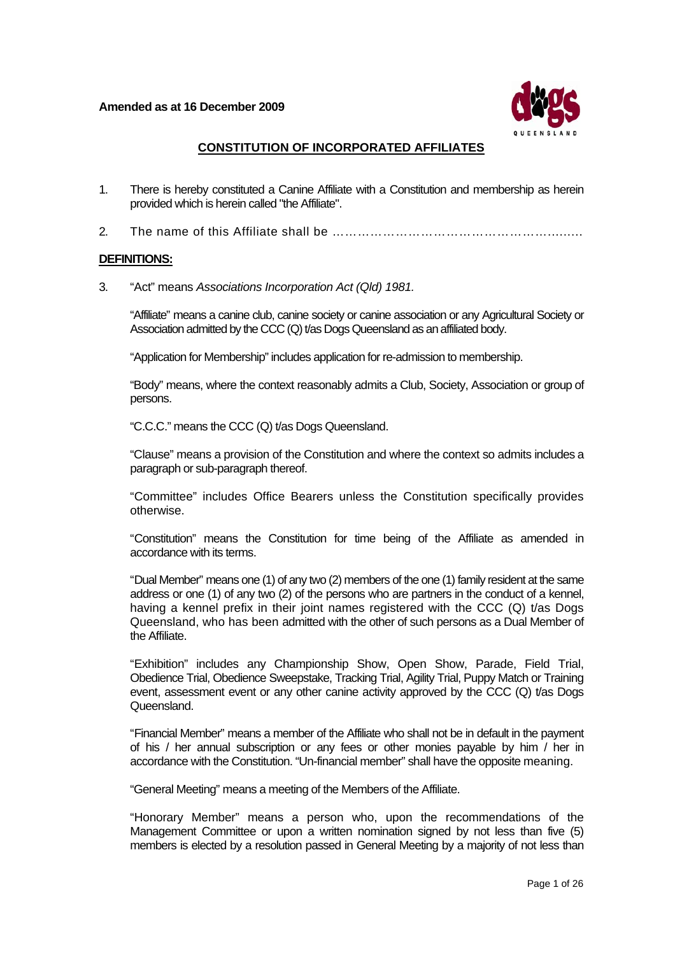

# **CONSTITUTION OF INCORPORATED AFFILIATES**

- 1. There is hereby constituted a Canine Affiliate with a Constitution and membership as herein provided which is herein called "the Affiliate".
- 2. The name of this Affiliate shall be …………………………………………….........

# **DEFINITIONS:**

3. "Act" means *Associations Incorporation Act (Qld) 1981.*

"Affiliate" means a canine club, canine society or canine association or any Agricultural Society or Association admitted by the CCC (Q) t/as Dogs Queensland as an affiliated body.

"Application for Membership" includes application for re-admission to membership.

"Body" means, where the context reasonably admits a Club, Society, Association or group of persons.

"C.C.C." means the CCC (Q) t/as Dogs Queensland.

"Clause" means a provision of the Constitution and where the context so admits includes a paragraph or sub-paragraph thereof.

"Committee" includes Office Bearers unless the Constitution specifically provides otherwise.

"Constitution" means the Constitution for time being of the Affiliate as amended in accordance with its terms.

"Dual Member" means one (1) of any two (2) members of the one (1) family resident at the same address or one (1) of any two (2) of the persons who are partners in the conduct of a kennel, having a kennel prefix in their joint names registered with the CCC  $(Q)$  t/as Dogs Queensland, who has been admitted with the other of such persons as a Dual Member of the Affiliate.

"Exhibition" includes any Championship Show, Open Show, Parade, Field Trial, Obedience Trial, Obedience Sweepstake, Tracking Trial, Agility Trial, Puppy Match or Training event, assessment event or any other canine activity approved by the CCC (Q) t/as Dogs Queensland.

"Financial Member" means a member of the Affiliate who shall not be in default in the payment of his / her annual subscription or any fees or other monies payable by him / her in accordance with the Constitution. "Un-financial member" shall have the opposite meaning.

"General Meeting" means a meeting of the Members of the Affiliate.

"Honorary Member" means a person who, upon the recommendations of the Management Committee or upon a written nomination signed by not less than five (5) members is elected by a resolution passed in General Meeting by a majority of not less than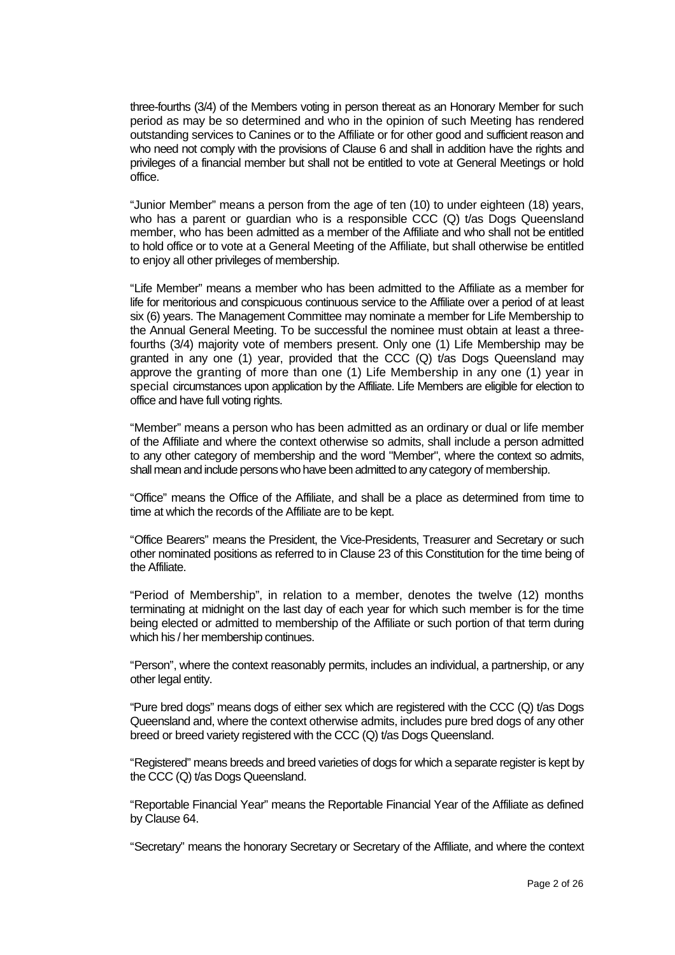three-fourths (3/4) of the Members voting in person thereat as an Honorary Member for such period as may be so determined and who in the opinion of such Meeting has rendered outstanding services to Canines or to the Affiliate or for other good and sufficient reason and who need not comply with the provisions of Clause 6 and shall in addition have the rights and privileges of a financial member but shall not be entitled to vote at General Meetings or hold office.

"Junior Member" means a person from the age of ten (10) to under eighteen (18) years, who has a parent or guardian who is a responsible CCC (Q) t/as Dogs Queensland member, who has been admitted as a member of the Affiliate and who shall not be entitled to hold office or to vote at a General Meeting of the Affiliate, but shall otherwise be entitled to enjoy all other privileges of membership.

"Life Member" means a member who has been admitted to the Affiliate as a member for life for meritorious and conspicuous continuous service to the Affiliate over a period of at least six (6) years. The Management Committee may nominate a member for Life Membership to the Annual General Meeting. To be successful the nominee must obtain at least a threefourths (3/4) majority vote of members present. Only one (1) Life Membership may be granted in any one (1) year, provided that the CCC (Q) t/as Dogs Queensland may approve the granting of more than one (1) Life Membership in any one (1) year in special circumstances upon application by the Affiliate. Life Members are eligible for election to office and have full voting rights.

"Member" means a person who has been admitted as an ordinary or dual or life member of the Affiliate and where the context otherwise so admits, shall include a person admitted to any other category of membership and the word "Member", where the context so admits, shall mean and include persons who have been admitted to any category of membership.

"Office" means the Office of the Affiliate, and shall be a place as determined from time to time at which the records of the Affiliate are to be kept.

"Office Bearers" means the President, the Vice-Presidents, Treasurer and Secretary or such other nominated positions as referred to in Clause 23 of this Constitution for the time being of the Affiliate.

"Period of Membership", in relation to a member, denotes the twelve (12) months terminating at midnight on the last day of each year for which such member is for the time being elected or admitted to membership of the Affiliate or such portion of that term during which his / her membership continues.

"Person", where the context reasonably permits, includes an individual, a partnership, or any other legal entity.

"Pure bred dogs" means dogs of either sex which are registered with the CCC (Q) t/as Dogs Queensland and, where the context otherwise admits, includes pure bred dogs of any other breed or breed variety registered with the CCC (Q) t/as Dogs Queensland.

"Registered" means breeds and breed varieties of dogs for which a separate register is kept by the CCC (Q) t/as Dogs Queensland.

"Reportable Financial Year" means the Reportable Financial Year of the Affiliate as defined by Clause 64.

"Secretary" means the honorary Secretary or Secretary of the Affiliate, and where the context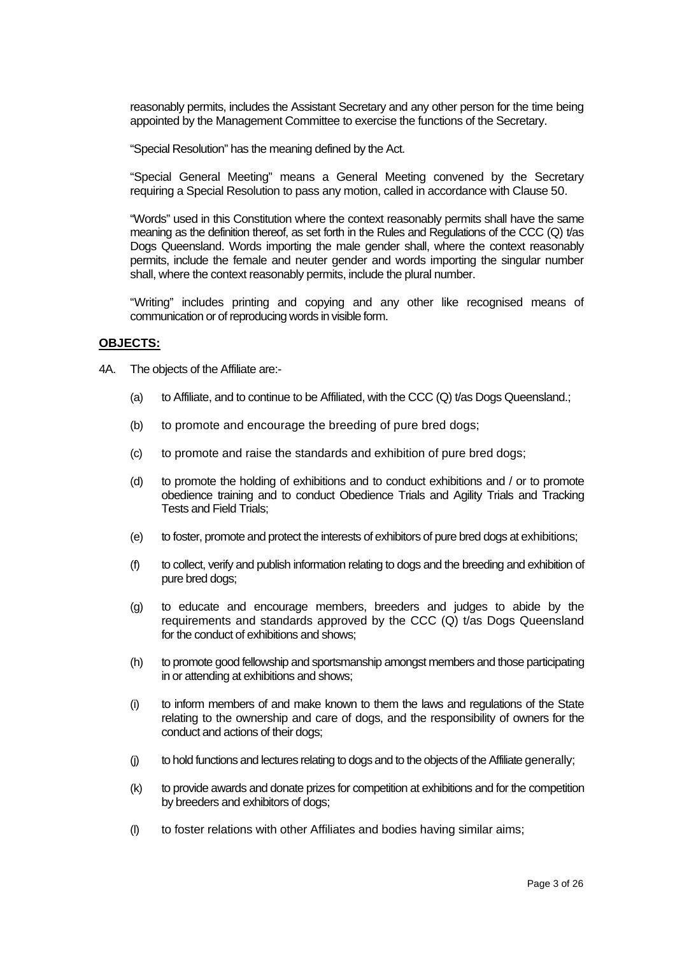reasonably permits, includes the Assistant Secretary and any other person for the time being appointed by the Management Committee to exercise the functions of the Secretary.

"Special Resolution" has the meaning defined by the Act.

"Special General Meeting" means a General Meeting convened by the Secretary requiring a Special Resolution to pass any motion, called in accordance with Clause 50.

"Words" used in this Constitution where the context reasonably permits shall have the same meaning as the definition thereof, as set forth in the Rules and Regulations of the CCC (Q) t/as Dogs Queensland. Words importing the male gender shall, where the context reasonably permits, include the female and neuter gender and words importing the singular number shall, where the context reasonably permits, include the plural number.

"Writing" includes printing and copying and any other like recognised means of communication or of reproducing words in visible form.

#### **OBJECTS:**

- 4A. The objects of the Affiliate are:-
	- (a) to Affiliate, and to continue to be Affiliated, with the CCC (Q) t/as Dogs Queensland.;
	- (b) to promote and encourage the breeding of pure bred dogs;
	- (c) to promote and raise the standards and exhibition of pure bred dogs;
	- (d) to promote the holding of exhibitions and to conduct exhibitions and / or to promote obedience training and to conduct Obedience Trials and Agility Trials and Tracking Tests and Field Trials;
	- (e) to foster, promote and protect the interests of exhibitors of pure bred dogs at exhibitions;
	- (f) to collect, verify and publish information relating to dogs and the breeding and exhibition of pure bred dogs;
	- (g) to educate and encourage members, breeders and judges to abide by the requirements and standards approved by the CCC  $(Q)$  t/as Dogs Queensland for the conduct of exhibitions and shows;
	- (h) to promote good fellowship and sportsmanship amongst members and those participating in or attending at exhibitions and shows;
	- (i) to inform members of and make known to them the laws and regulations of the State relating to the ownership and care of dogs, and the responsibility of owners for the conduct and actions of their dogs;
	- (j) to hold functions and lectures relating to dogs and to the objects of the Affiliate generally;
	- (k) to provide awards and donate prizes for competition at exhibitions and for the competition by breeders and exhibitors of dogs;
	- (l) to foster relations with other Affiliates and bodies having similar aims;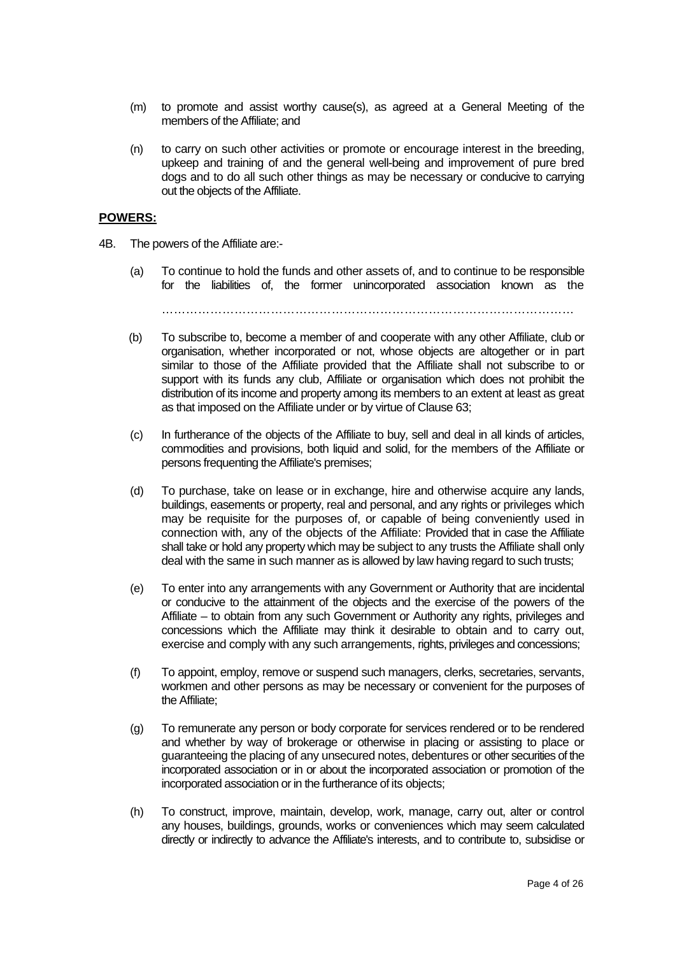- (m) to promote and assist worthy cause(s), as agreed at a General Meeting of the members of the Affiliate; and
- (n) to carry on such other activities or promote or encourage interest in the breeding, upkeep and training of and the general well-being and improvement of pure bred dogs and to do all such other things as may be necessary or conducive to carrying out the objects of the Affiliate.

## **POWERS:**

- 4B. The powers of the Affiliate are:-
	- (a) To continue to hold the funds and other assets of, and to continue to be responsible for the liabilities of, the former unincorporated association known as the …………………………………………………………………………………………
	- (b) To subscribe to, become a member of and cooperate with any other Affiliate, club or organisation, whether incorporated or not, whose objects are altogether or in part similar to those of the Affiliate provided that the Affiliate shall not subscribe to or support with its funds any club, Affiliate or organisation which does not prohibit the distribution of its income and property among its members to an extent at least as great as that imposed on the Affiliate under or by virtue of Clause 63;
	- (c) In furtherance of the objects of the Affiliate to buy, sell and deal in all kinds of articles, commodities and provisions, both liquid and solid, for the members of the Affiliate or persons frequenting the Affiliate's premises;
	- (d) To purchase, take on lease or in exchange, hire and otherwise acquire any lands, buildings, easements or property, real and personal, and any rights or privileges which may be requisite for the purposes of, or capable of being conveniently used in connection with, any of the objects of the Affiliate: Provided that in case the Affiliate shall take or hold any property which may be subject to any trusts the Affiliate shall only deal with the same in such manner as is allowed by law having regard to such trusts;
	- (e) To enter into any arrangements with any Government or Authority that are incidental or conducive to the attainment of the objects and the exercise of the powers of the Affiliate – to obtain from any such Government or Authority any rights, privileges and concessions which the Affiliate may think it desirable to obtain and to carry out, exercise and comply with any such arrangements, rights, privileges and concessions;
	- (f) To appoint, employ, remove or suspend such managers, clerks, secretaries, servants, workmen and other persons as may be necessary or convenient for the purposes of the Affiliate;
	- (g) To remunerate any person or body corporate for services rendered or to be rendered and whether by way of brokerage or otherwise in placing or assisting to place or guaranteeing the placing of any unsecured notes, debentures or other securities of the incorporated association or in or about the incorporated association or promotion of the incorporated association or in the furtherance of its objects;
	- (h) To construct, improve, maintain, develop, work, manage, carry out, alter or control any houses, buildings, grounds, works or conveniences which may seem calculated directly or indirectly to advance the Affiliate's interests, and to contribute to, subsidise or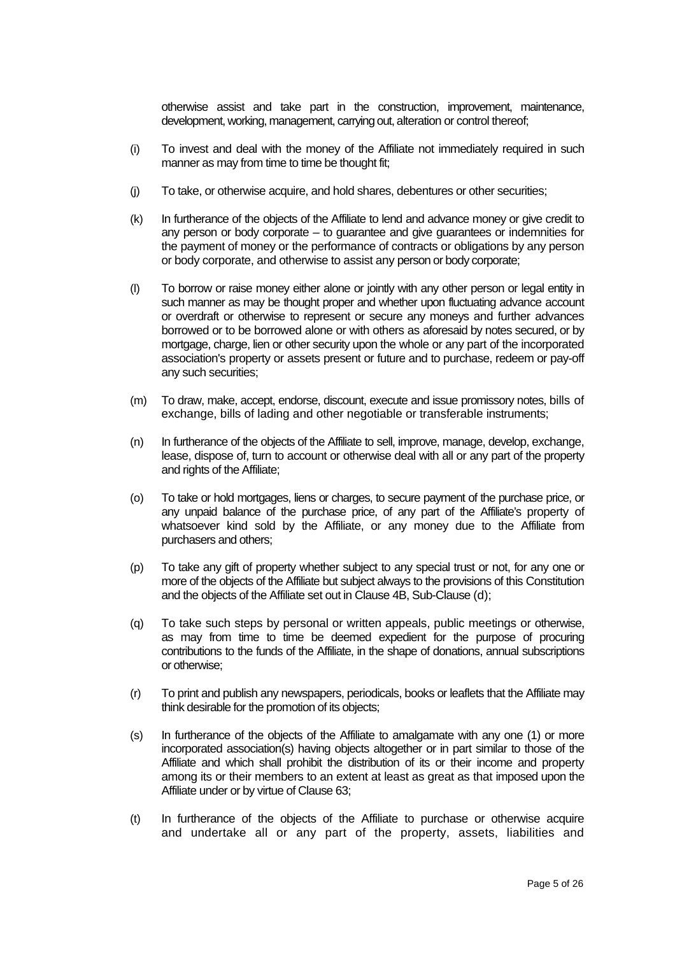otherwise assist and take part in the construction, improvement, maintenance, development, working, management, carrying out, alteration or control thereof;

- (i) To invest and deal with the money of the Affiliate not immediately required in such manner as may from time to time be thought fit;
- (j) To take, or otherwise acquire, and hold shares, debentures or other securities;
- (k) In furtherance of the objects of the Affiliate to lend and advance money or give credit to any person or body corporate – to guarantee and give guarantees or indemnities for the payment of money or the performance of contracts or obligations by any person or body corporate, and otherwise to assist any person or body corporate;
- (l) To borrow or raise money either alone or jointly with any other person or legal entity in such manner as may be thought proper and whether upon fluctuating advance account or overdraft or otherwise to represent or secure any moneys and further advances borrowed or to be borrowed alone or with others as aforesaid by notes secured, or by mortgage, charge, lien or other security upon the whole or any part of the incorporated association's property or assets present or future and to purchase, redeem or pay-off any such securities;
- (m) To draw, make, accept, endorse, discount, execute and issue promissory notes, bills of exchange, bills of lading and other negotiable or transferable instruments;
- (n) In furtherance of the objects of the Affiliate to sell, improve, manage, develop, exchange, lease, dispose of, turn to account or otherwise deal with all or any part of the property and rights of the Affiliate:
- (o) To take or hold mortgages, liens or charges, to secure payment of the purchase price, or any unpaid balance of the purchase price, of any part of the Affiliate's property of whatsoever kind sold by the Affiliate, or any money due to the Affiliate from purchasers and others;
- (p) To take any gift of property whether subject to any special trust or not, for any one or more of the objects of the Affiliate but subject always to the provisions of this Constitution and the objects of the Affiliate set out in Clause 4B, Sub-Clause (d);
- (q) To take such steps by personal or written appeals, public meetings or otherwise, as may from time to time be deemed expedient for the purpose of procuring contributions to the funds of the Affiliate, in the shape of donations, annual subscriptions or otherwise;
- (r) To print and publish any newspapers, periodicals, books or leaflets that the Affiliate may think desirable for the promotion of its objects;
- (s) In furtherance of the objects of the Affiliate to amalgamate with any one (1) or more incorporated association(s) having objects altogether or in part similar to those of the Affiliate and which shall prohibit the distribution of its or their income and property among its or their members to an extent at least as great as that imposed upon the Affiliate under or by virtue of Clause 63;
- (t) In furtherance of the objects of the Affiliate to purchase or otherwise acquire and undertake all or any part of the property, assets, liabilities and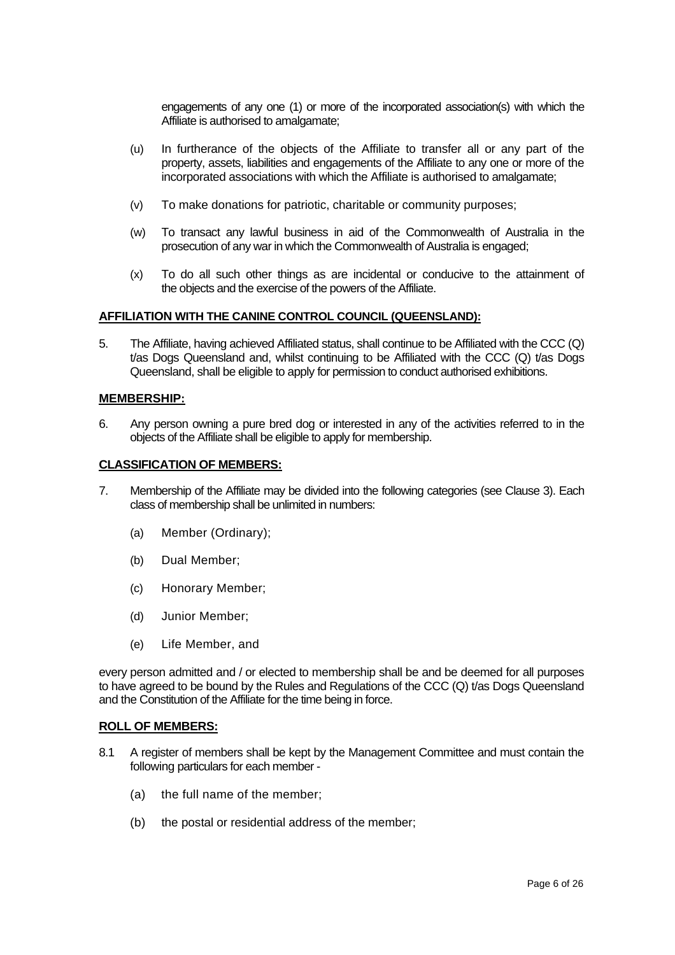engagements of any one (1) or more of the incorporated association(s) with which the Affiliate is authorised to amalgamate;

- (u) In furtherance of the objects of the Affiliate to transfer all or any part of the property, assets, liabilities and engagements of the Affiliate to any one or more of the incorporated associations with which the Affiliate is authorised to amalgamate;
- (v) To make donations for patriotic, charitable or community purposes;
- (w) To transact any lawful business in aid of the Commonwealth of Australia in the prosecution of any war in which the Commonwealth of Australia is engaged;
- (x) To do all such other things as are incidental or conducive to the attainment of the objects and the exercise of the powers of the Affiliate.

## **AFFILIATION WITH THE CANINE CONTROL COUNCIL (QUEENSLAND):**

5. The Affiliate, having achieved Affiliated status, shall continue to be Affiliated with the CCC (Q) t/as Dogs Queensland and, whilst continuing to be Affiliated with the CCC (Q) t/as Dogs Queensland, shall be eligible to apply for permission to conduct authorised exhibitions.

#### **MEMBERSHIP:**

6. Any person owning a pure bred dog or interested in any of the activities referred to in the objects of the Affiliate shall be eligible to apply for membership.

#### **CLASSIFICATION OF MEMBERS:**

- 7. Membership of the Affiliate may be divided into the following categories (see Clause 3). Each class of membership shall be unlimited in numbers:
	- (a) Member (Ordinary);
	- (b) Dual Member;
	- (c) Honorary Member;
	- (d) Junior Member;
	- (e) Life Member, and

every person admitted and / or elected to membership shall be and be deemed for all purposes to have agreed to be bound by the Rules and Regulations of the CCC (Q) t/as Dogs Queensland and the Constitution of the Affiliate for the time being in force.

### **ROLL OF MEMBERS:**

- 8.1 A register of members shall be kept by the Management Committee and must contain the following particulars for each member -
	- (a) the full name of the member;
	- (b) the postal or residential address of the member;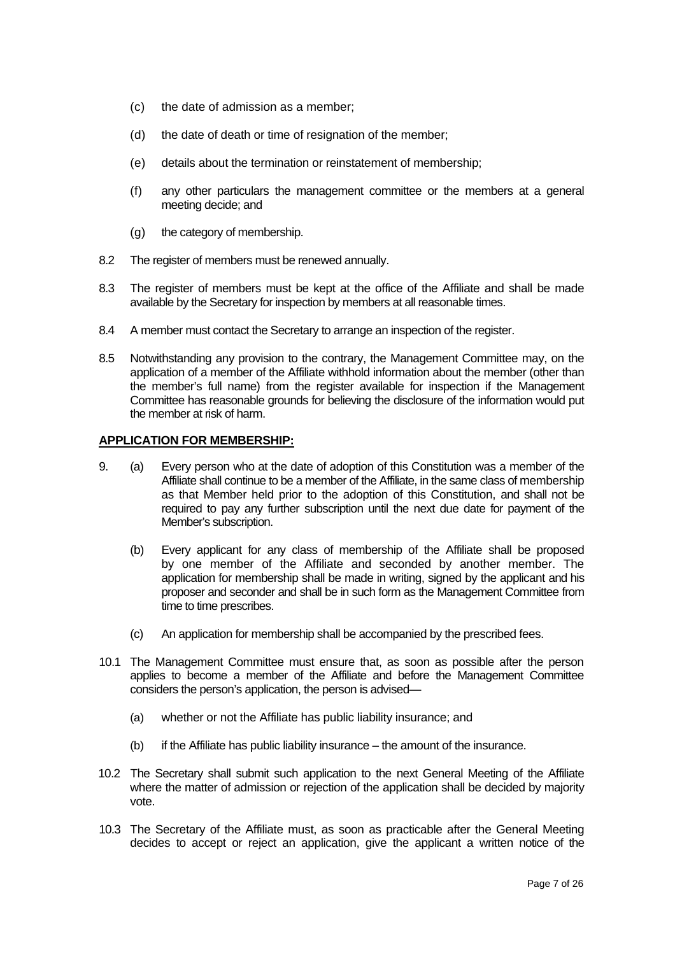- (c) the date of admission as a member;
- (d) the date of death or time of resignation of the member;
- (e) details about the termination or reinstatement of membership;
- (f) any other particulars the management committee or the members at a general meeting decide; and
- (g) the category of membership.
- 8.2 The register of members must be renewed annually.
- 8.3 The register of members must be kept at the office of the Affiliate and shall be made available by the Secretary for inspection by members at all reasonable times.
- 8.4 A member must contact the Secretary to arrange an inspection of the register.
- 8.5 Notwithstanding any provision to the contrary, the Management Committee may, on the application of a member of the Affiliate withhold information about the member (other than the member's full name) from the register available for inspection if the Management Committee has reasonable grounds for believing the disclosure of the information would put the member at risk of harm.

## **APPLICATION FOR MEMBERSHIP:**

- 9. (a) Every person who at the date of adoption of this Constitution was a member of the Affiliate shall continue to be a member of the Affiliate, in the same class of membership as that Member held prior to the adoption of this Constitution, and shall not be required to pay any further subscription until the next due date for payment of the Member's subscription.
	- (b) Every applicant for any class of membership of the Affiliate shall be proposed by one member of the Affiliate and seconded by another member. The application for membership shall be made in writing, signed by the applicant and his proposer and seconder and shall be in such form as the Management Committee from time to time prescribes.
	- (c) An application for membership shall be accompanied by the prescribed fees.
- 10.1 The Management Committee must ensure that, as soon as possible after the person applies to become a member of the Affiliate and before the Management Committee considers the person's application, the person is advised—
	- (a) whether or not the Affiliate has public liability insurance; and
	- (b) if the Affiliate has public liability insurance the amount of the insurance.
- 10.2 The Secretary shall submit such application to the next General Meeting of the Affiliate where the matter of admission or rejection of the application shall be decided by majority vote.
- 10.3 The Secretary of the Affiliate must, as soon as practicable after the General Meeting decides to accept or reject an application, give the applicant a written notice of the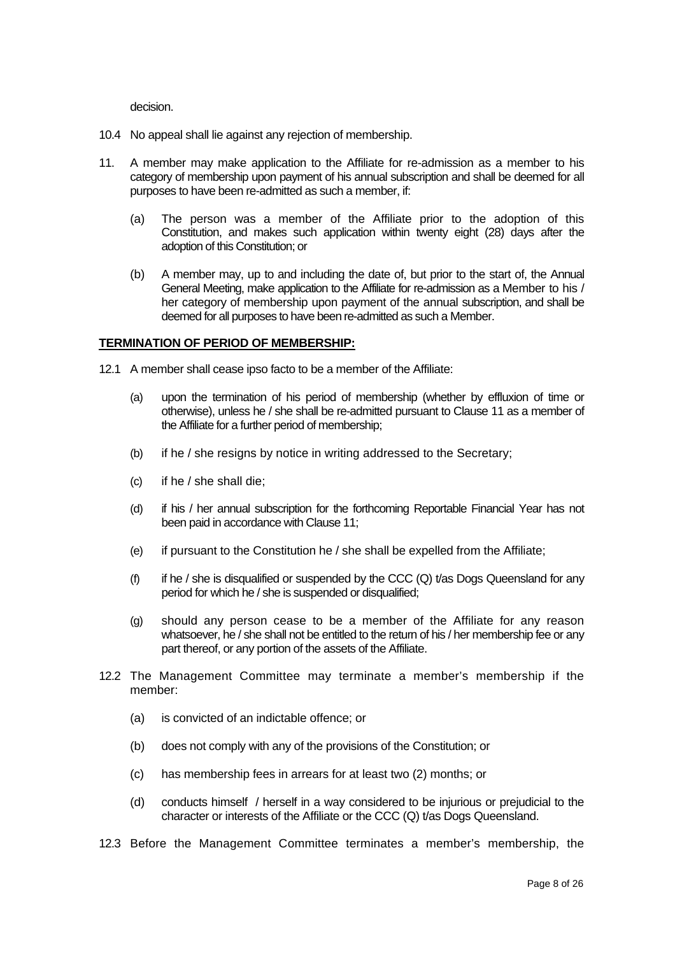decision.

- 10.4 No appeal shall lie against any rejection of membership.
- 11. A member may make application to the Affiliate for re-admission as a member to his category of membership upon payment of his annual subscription and shall be deemed for all purposes to have been re-admitted as such a member, if:
	- (a) The person was a member of the Affiliate prior to the adoption of this Constitution, and makes such application within twenty eight (28) days after the adoption of this Constitution; or
	- (b) A member may, up to and including the date of, but prior to the start of, the Annual General Meeting, make application to the Affiliate for re-admission as a Member to his / her category of membership upon payment of the annual subscription, and shall be deemed for all purposes to have been re-admitted as such a Member.

## **TERMINATION OF PERIOD OF MEMBERSHIP:**

- 12.1 A member shall cease ipso facto to be a member of the Affiliate:
	- (a) upon the termination of his period of membership (whether by effluxion of time or otherwise), unless he / she shall be re-admitted pursuant to Clause 11 as a member of the Affiliate for a further period of membership;
	- (b) if he / she resigns by notice in writing addressed to the Secretary;
	- (c) if he / she shall die;
	- (d) if his / her annual subscription for the forthcoming Reportable Financial Year has not been paid in accordance with Clause 11;
	- (e) if pursuant to the Constitution he / she shall be expelled from the Affiliate;
	- (f) if he / she is disqualified or suspended by the CCC  $(Q)$  t/as Dogs Queensland for any period for which he / she is suspended or disqualified;
	- (g) should any person cease to be a member of the Affiliate for any reason whatsoever, he / she shall not be entitled to the return of his / her membership fee or any part thereof, or any portion of the assets of the Affiliate.
- 12.2 The Management Committee may terminate a member's membership if the member:
	- (a) is convicted of an indictable offence; or
	- (b) does not comply with any of the provisions of the Constitution; or
	- (c) has membership fees in arrears for at least two (2) months; or
	- (d) conducts himself / herself in a way considered to be injurious or prejudicial to the character or interests of the Affiliate or the CCC (Q) t/as Dogs Queensland.
- 12.3 Before the Management Committee terminates a member's membership, the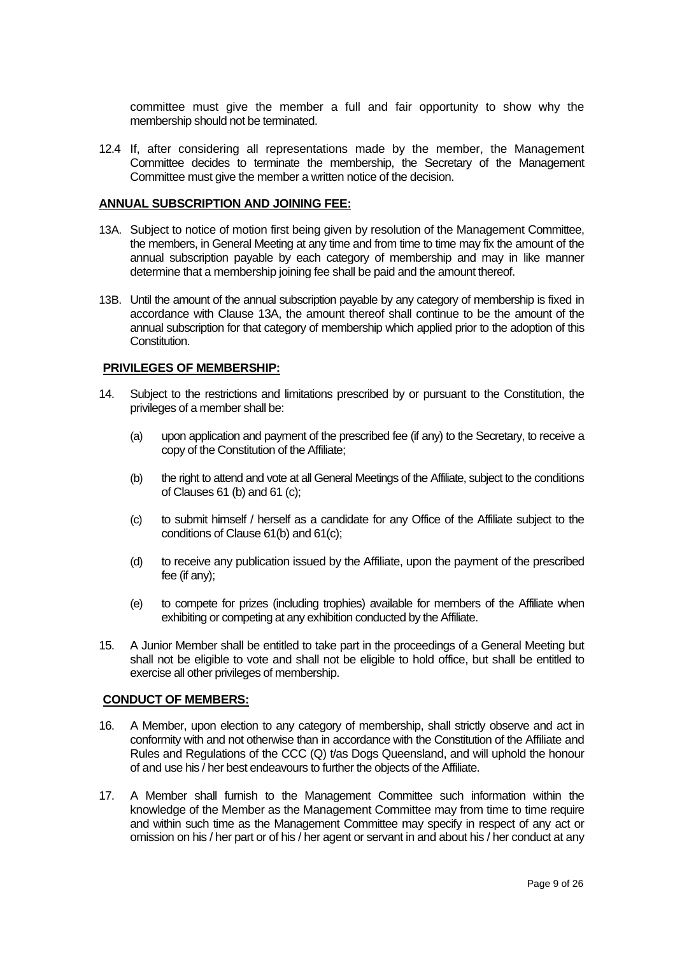committee must give the member a full and fair opportunity to show why the membership should not be terminated.

12.4 If, after considering all representations made by the member, the Management Committee decides to terminate the membership, the Secretary of the Management Committee must give the member a written notice of the decision.

## **ANNUAL SUBSCRIPTION AND JOINING FEE:**

- 13A. Subject to notice of motion first being given by resolution of the Management Committee, the members, in General Meeting at any time and from time to time may fix the amount of the annual subscription payable by each category of membership and may in like manner determine that a membership joining fee shall be paid and the amount thereof.
- 13B. Until the amount of the annual subscription payable by any category of membership is fixed in accordance with Clause 13A, the amount thereof shall continue to be the amount of the annual subscription for that category of membership which applied prior to the adoption of this Constitution.

## **PRIVILEGES OF MEMBERSHIP:**

- 14. Subject to the restrictions and limitations prescribed by or pursuant to the Constitution, the privileges of a member shall be:
	- (a) upon application and payment of the prescribed fee (if any) to the Secretary, to receive a copy of the Constitution of the Affiliate;
	- (b) the right to attend and vote at all General Meetings of the Affiliate, subject to the conditions of Clauses 61 (b) and 61 (c);
	- (c) to submit himself / herself as a candidate for any Office of the Affiliate subject to the conditions of Clause 61(b) and 61(c);
	- (d) to receive any publication issued by the Affiliate, upon the payment of the prescribed fee (if any);
	- (e) to compete for prizes (including trophies) available for members of the Affiliate when exhibiting or competing at any exhibition conducted by the Affiliate.
- 15. A Junior Member shall be entitled to take part in the proceedings of a General Meeting but shall not be eligible to vote and shall not be eligible to hold office, but shall be entitled to exercise all other privileges of membership.

#### **CONDUCT OF MEMBERS:**

- 16. A Member, upon election to any category of membership, shall strictly observe and act in conformity with and not otherwise than in accordance with the Constitution of the Affiliate and Rules and Regulations of the CCC (Q) t/as Dogs Queensland, and will uphold the honour of and use his / her best endeavours to further the objects of the Affiliate.
- 17. A Member shall furnish to the Management Committee such information within the knowledge of the Member as the Management Committee may from time to time require and within such time as the Management Committee may specify in respect of any act or omission on his / her part or of his / her agent or servant in and about his / her conduct at any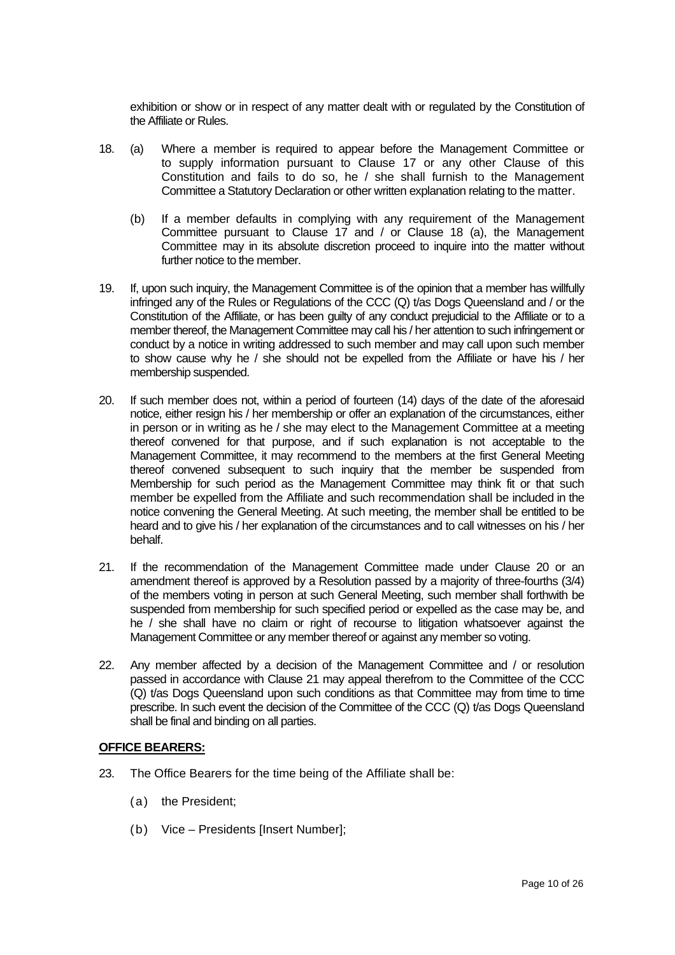exhibition or show or in respect of any matter dealt with or regulated by the Constitution of the Affiliate or Rules.

- 18. (a) Where a member is required to appear before the Management Committee or to supply information pursuant to Clause 17 or any other Clause of this Constitution and fails to do so, he / she shall furnish to the Management Committee a Statutory Declaration or other written explanation relating to the matter.
	- (b) If a member defaults in complying with any requirement of the Management Committee pursuant to Clause 17 and / or Clause 18 (a), the Management Committee may in its absolute discretion proceed to inquire into the matter without further notice to the member.
- 19. If, upon such inquiry, the Management Committee is of the opinion that a member has willfully infringed any of the Rules or Regulations of the CCC  $(Q)$  t/as Dogs Queensland and / or the Constitution of the Affiliate, or has been guilty of any conduct prejudicial to the Affiliate or to a member thereof, the Management Committee may call his / her attention to such infringement or conduct by a notice in writing addressed to such member and may call upon such member to show cause why he / she should not be expelled from the Affiliate or have his / her membership suspended.
- 20. If such member does not, within a period of fourteen (14) days of the date of the aforesaid notice, either resign his / her membership or offer an explanation of the circumstances, either in person or in writing as he / she may elect to the Management Committee at a meeting thereof convened for that purpose, and if such explanation is not acceptable to the Management Committee, it may recommend to the members at the first General Meeting thereof convened subsequent to such inquiry that the member be suspended from Membership for such period as the Management Committee may think fit or that such member be expelled from the Affiliate and such recommendation shall be included in the notice convening the General Meeting. At such meeting, the member shall be entitled to be heard and to give his / her explanation of the circumstances and to call witnesses on his / her behalf.
- 21. If the recommendation of the Management Committee made under Clause 20 or an amendment thereof is approved by a Resolution passed by a majority of three-fourths (3/4) of the members voting in person at such General Meeting, such member shall forthwith be suspended from membership for such specified period or expelled as the case may be, and he / she shall have no claim or right of recourse to litigation whatsoever against the Management Committee or any member thereof or against any member so voting.
- 22. Any member affected by a decision of the Management Committee and / or resolution passed in accordance with Clause 21 may appeal therefrom to the Committee of the CCC (Q) t/as Dogs Queensland upon such conditions as that Committee may from time to time prescribe. In such event the decision of the Committee of the CCC (Q) t/as Dogs Queensland shall be final and binding on all parties.

# **OFFICE BEARERS:**

- 23. The Office Bearers for the time being of the Affiliate shall be:
	- (a) the President;
	- (b) Vice Presidents [Insert Number];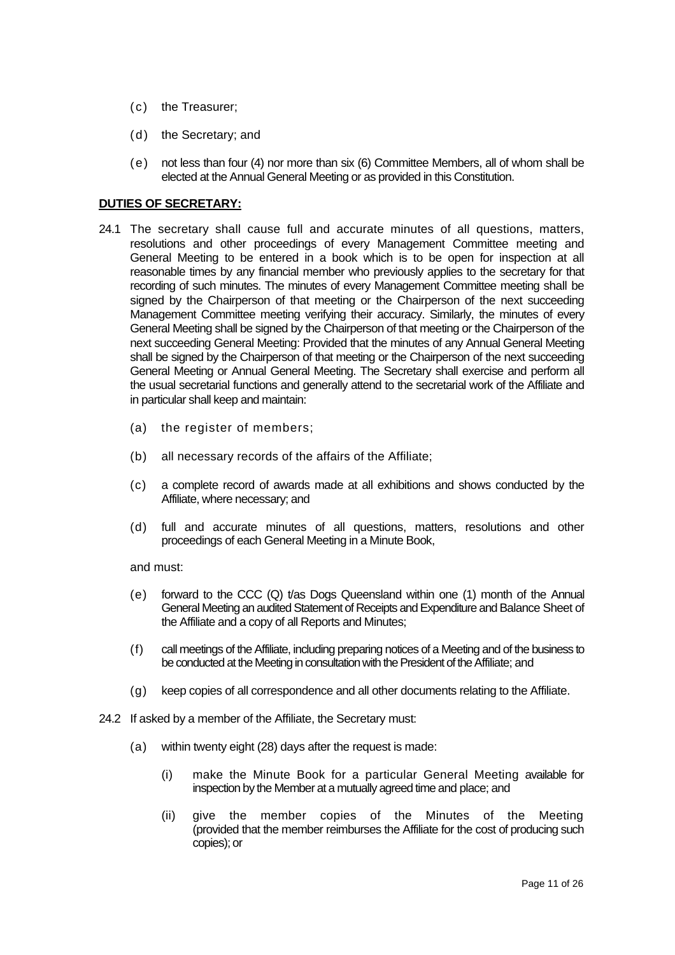- (c) the Treasurer;
- (d) the Secretary; and
- (e) not less than four (4) nor more than six (6) Committee Members, all of whom shall be elected at the Annual General Meeting or as provided in this Constitution.

## **DUTIES OF SECRETARY:**

- 24.1 The secretary shall cause full and accurate minutes of all questions, matters, resolutions and other proceedings of every Management Committee meeting and General Meeting to be entered in a book which is to be open for inspection at all reasonable times by any financial member who previously applies to the secretary for that recording of such minutes. The minutes of every Management Committee meeting shall be signed by the Chairperson of that meeting or the Chairperson of the next succeeding Management Committee meeting verifying their accuracy. Similarly, the minutes of every General Meeting shall be signed by the Chairperson of that meeting or the Chairperson of the next succeeding General Meeting: Provided that the minutes of any Annual General Meeting shall be signed by the Chairperson of that meeting or the Chairperson of the next succeeding General Meeting or Annual General Meeting. The Secretary shall exercise and perform all the usual secretarial functions and generally attend to the secretarial work of the Affiliate and in particular shall keep and maintain:
	- (a) the register of members;
	- (b) all necessary records of the affairs of the Affiliate;
	- (c) a complete record of awards made at all exhibitions and shows conducted by the Affiliate, where necessary; and
	- (d) full and accurate minutes of all questions, matters, resolutions and other proceedings of each General Meeting in a Minute Book,

and must:

- (e) forward to the CCC (Q) t/as Dogs Queensland within one (1) month of the Annual General Meeting an audited Statement of Receipts and Expenditure and Balance Sheet of the Affiliate and a copy of all Reports and Minutes;
- (f) call meetings of the Affiliate, including preparing notices of a Meeting and of the business to be conducted at the Meeting in consultation with the President of the Affiliate; and
- (g) keep copies of all correspondence and all other documents relating to the Affiliate.
- 24.2 If asked by a member of the Affiliate, the Secretary must:
	- (a) within twenty eight (28) days after the request is made:
		- (i) make the Minute Book for a particular General Meeting available for inspection by the Member at a mutually agreed time and place; and
		- (ii) give the member copies of the Minutes of the Meeting (provided that the member reimburses the Affiliate for the cost of producing such copies); or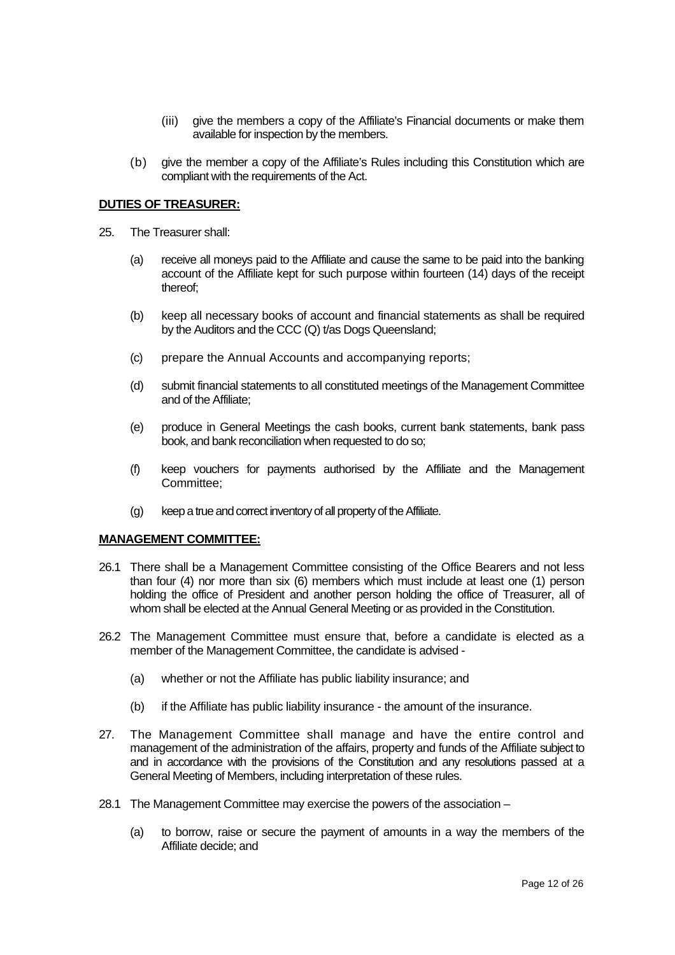- (iii) give the members a copy of the Affiliate's Financial documents or make them available for inspection by the members.
- (b) give the member a copy of the Affiliate's Rules including this Constitution which are compliant with the requirements of the Act.

## **DUTIES OF TREASURER:**

- 25. The Treasurer shall:
	- (a) receive all moneys paid to the Affiliate and cause the same to be paid into the banking account of the Affiliate kept for such purpose within fourteen (14) days of the receipt thereof;
	- (b) keep all necessary books of account and financial statements as shall be required by the Auditors and the CCC (Q) t/as Dogs Queensland;
	- (c) prepare the Annual Accounts and accompanying reports;
	- (d) submit financial statements to all constituted meetings of the Management Committee and of the Affiliate;
	- (e) produce in General Meetings the cash books, current bank statements, bank pass book, and bank reconciliation when requested to do so;
	- (f) keep vouchers for payments authorised by the Affiliate and the Management Committee;
	- (g) keep a true and correct inventory of all property of the Affiliate.

## **MANAGEMENT COMMITTEE:**

- 26.1 There shall be a Management Committee consisting of the Office Bearers and not less than four (4) nor more than six (6) members which must include at least one (1) person holding the office of President and another person holding the office of Treasurer, all of whom shall be elected at the Annual General Meeting or as provided in the Constitution.
- 26.2 The Management Committee must ensure that, before a candidate is elected as a member of the Management Committee, the candidate is advised -
	- (a) whether or not the Affiliate has public liability insurance; and
	- (b) if the Affiliate has public liability insurance the amount of the insurance.
- 27. The Management Committee shall manage and have the entire control and management of the administration of the affairs, property and funds of the Affiliate subject to and in accordance with the provisions of the Constitution and any resolutions passed at a General Meeting of Members, including interpretation of these rules.
- 28.1 The Management Committee may exercise the powers of the association
	- (a) to borrow, raise or secure the payment of amounts in a way the members of the Affiliate decide; and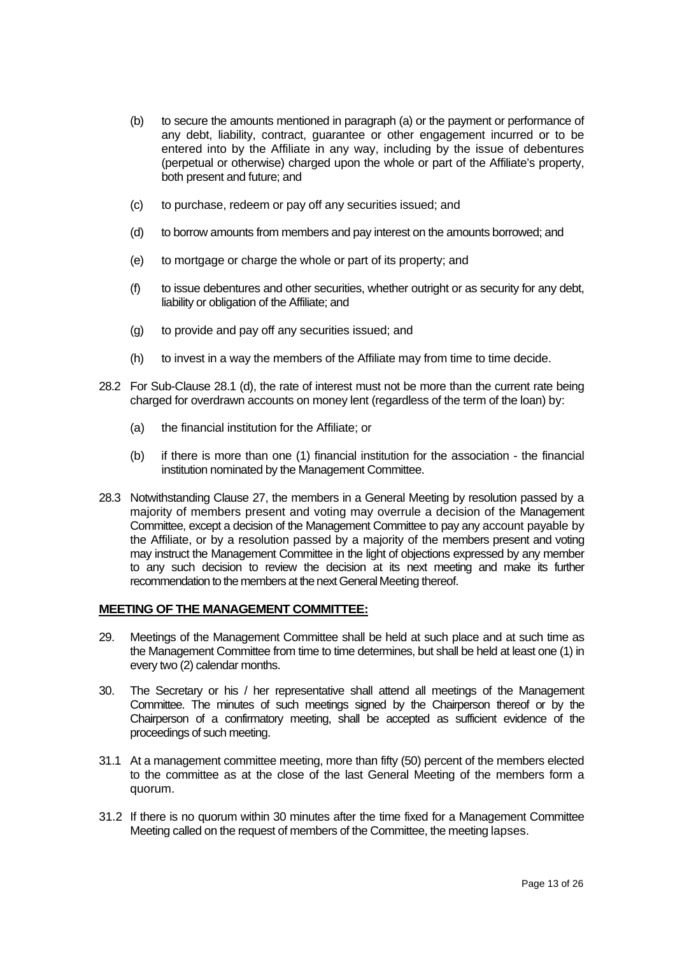- (b) to secure the amounts mentioned in paragraph (a) or the payment or performance of any debt, liability, contract, guarantee or other engagement incurred or to be entered into by the Affiliate in any way, including by the issue of debentures (perpetual or otherwise) charged upon the whole or part of the Affiliate's property, both present and future; and
- (c) to purchase, redeem or pay off any securities issued; and
- (d) to borrow amounts from members and pay interest on the amounts borrowed; and
- (e) to mortgage or charge the whole or part of its property; and
- (f) to issue debentures and other securities, whether outright or as security for any debt, liability or obligation of the Affiliate; and
- (g) to provide and pay off any securities issued; and
- (h) to invest in a way the members of the Affiliate may from time to time decide.
- 28.2 For Sub-Clause 28.1 (d), the rate of interest must not be more than the current rate being charged for overdrawn accounts on money lent (regardless of the term of the loan) by:
	- (a) the financial institution for the Affiliate; or
	- (b) if there is more than one (1) financial institution for the association the financial institution nominated by the Management Committee.
- 28.3 Notwithstanding Clause 27, the members in a General Meeting by resolution passed by a majority of members present and voting may overrule a decision of the Management Committee, except a decision of the Management Committee to pay any account payable by the Affiliate, or by a resolution passed by a majority of the members present and voting may instruct the Management Committee in the light of objections expressed by any member to any such decision to review the decision at its next meeting and make its further recommendation to the members at the next General Meeting thereof.

#### **MEETING OF THE MANAGEMENT COMMITTEE:**

- 29. Meetings of the Management Committee shall be held at such place and at such time as the Management Committee from time to time determines, but shall be held at least one (1) in every two (2) calendar months.
- 30. The Secretary or his / her representative shall attend all meetings of the Management Committee. The minutes of such meetings signed by the Chairperson thereof or by the Chairperson of a confirmatory meeting, shall be accepted as sufficient evidence of the proceedings of such meeting.
- 31.1 At a management committee meeting, more than fifty (50) percent of the members elected to the committee as at the close of the last General Meeting of the members form a quorum.
- 31.2 If there is no quorum within 30 minutes after the time fixed for a Management Committee Meeting called on the request of members of the Committee, the meeting lapses.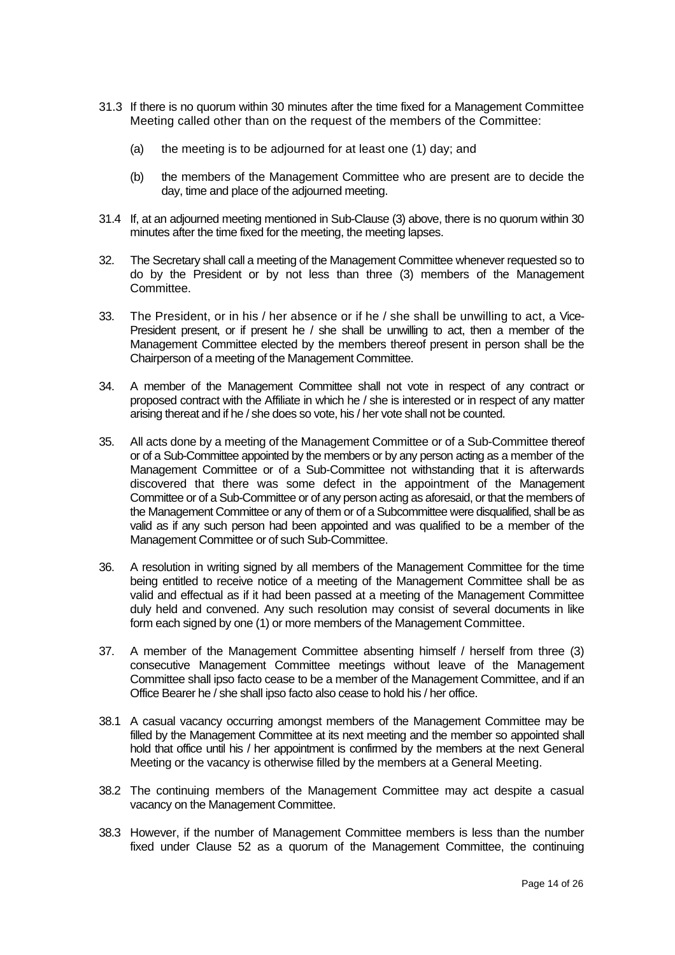- 31.3 If there is no quorum within 30 minutes after the time fixed for a Management Committee Meeting called other than on the request of the members of the Committee:
	- (a) the meeting is to be adjourned for at least one (1) day; and
	- (b) the members of the Management Committee who are present are to decide the day, time and place of the adjourned meeting.
- 31.4 If, at an adjourned meeting mentioned in Sub-Clause (3) above, there is no quorum within 30 minutes after the time fixed for the meeting, the meeting lapses.
- 32. The Secretary shall call a meeting of the Management Committee whenever requested so to do by the President or by not less than three (3) members of the Management Committee.
- 33. The President, or in his / her absence or if he / she shall be unwilling to act, a Vice-President present, or if present he / she shall be unwilling to act, then a member of the Management Committee elected by the members thereof present in person shall be the Chairperson of a meeting of the Management Committee.
- 34. A member of the Management Committee shall not vote in respect of any contract or proposed contract with the Affiliate in which he / she is interested or in respect of any matter arising thereat and if he / she does so vote, his / her vote shall not be counted.
- 35. All acts done by a meeting of the Management Committee or of a Sub-Committee thereof or of a Sub-Committee appointed by the members or by any person acting as a member of the Management Committee or of a Sub-Committee not withstanding that it is afterwards discovered that there was some defect in the appointment of the Management Committee or of a Sub-Committee or of any person acting as aforesaid, or that the members of the Management Committee or any of them or of a Subcommittee were disqualified, shall be as valid as if any such person had been appointed and was qualified to be a member of the Management Committee or of such Sub-Committee.
- 36. A resolution in writing signed by all members of the Management Committee for the time being entitled to receive notice of a meeting of the Management Committee shall be as valid and effectual as if it had been passed at a meeting of the Management Committee duly held and convened. Any such resolution may consist of several documents in like form each signed by one (1) or more members of the Management Committee.
- 37. A member of the Management Committee absenting himself / herself from three (3) consecutive Management Committee meetings without leave of the Management Committee shall ipso facto cease to be a member of the Management Committee, and if an Office Bearer he / she shall ipso facto also cease to hold his / her office.
- 38.1 A casual vacancy occurring amongst members of the Management Committee may be filled by the Management Committee at its next meeting and the member so appointed shall hold that office until his / her appointment is confirmed by the members at the next General Meeting or the vacancy is otherwise filled by the members at a General Meeting.
- 38.2 The continuing members of the Management Committee may act despite a casual vacancy on the Management Committee.
- 38.3 However, if the number of Management Committee members is less than the number fixed under Clause 52 as a quorum of the Management Committee, the continuing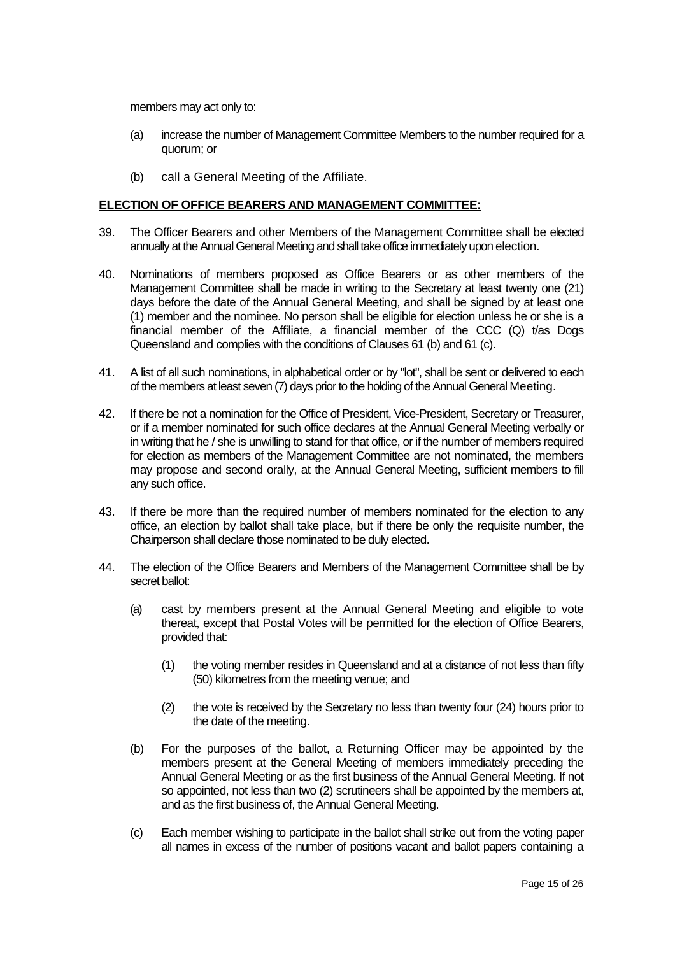members may act only to:

- (a) increase the number of Management Committee Members to the number required for a quorum; or
- (b) call a General Meeting of the Affiliate.

## **ELECTION OF OFFICE BEARERS AND MANAGEMENT COMMITTEE:**

- 39. The Officer Bearers and other Members of the Management Committee shall be elected annually at the Annual General Meeting and shall take office immediately upon election.
- 40. Nominations of members proposed as Office Bearers or as other members of the Management Committee shall be made in writing to the Secretary at least twenty one (21) days before the date of the Annual General Meeting, and shall be signed by at least one (1) member and the nominee. No person shall be eligible for election unless he or she is a financial member of the Affiliate, a financial member of the CCC (Q) t/as Dogs Queensland and complies with the conditions of Clauses 61 (b) and 61 (c).
- 41. A list of all such nominations, in alphabetical order or by "lot", shall be sent or delivered to each of the members at least seven (7) days prior to the holding of the Annual General Meeting.
- 42. If there be not a nomination for the Office of President, Vice-President, Secretary or Treasurer, or if a member nominated for such office declares at the Annual General Meeting verbally or in writing that he / she is unwilling to stand for that office, or if the number of members required for election as members of the Management Committee are not nominated, the members may propose and second orally, at the Annual General Meeting, sufficient members to fill any such office.
- 43. If there be more than the required number of members nominated for the election to any office, an election by ballot shall take place, but if there be only the requisite number, the Chairperson shall declare those nominated to be duly elected.
- 44. The election of the Office Bearers and Members of the Management Committee shall be by secret ballot:
	- (a) cast by members present at the Annual General Meeting and eligible to vote thereat, except that Postal Votes will be permitted for the election of Office Bearers, provided that:
		- (1) the voting member resides in Queensland and at a distance of not less than fifty (50) kilometres from the meeting venue; and
		- (2) the vote is received by the Secretary no less than twenty four (24) hours prior to the date of the meeting.
	- (b) For the purposes of the ballot, a Returning Officer may be appointed by the members present at the General Meeting of members immediately preceding the Annual General Meeting or as the first business of the Annual General Meeting. If not so appointed, not less than two (2) scrutineers shall be appointed by the members at, and as the first business of, the Annual General Meeting.
	- (c) Each member wishing to participate in the ballot shall strike out from the voting paper all names in excess of the number of positions vacant and ballot papers containing a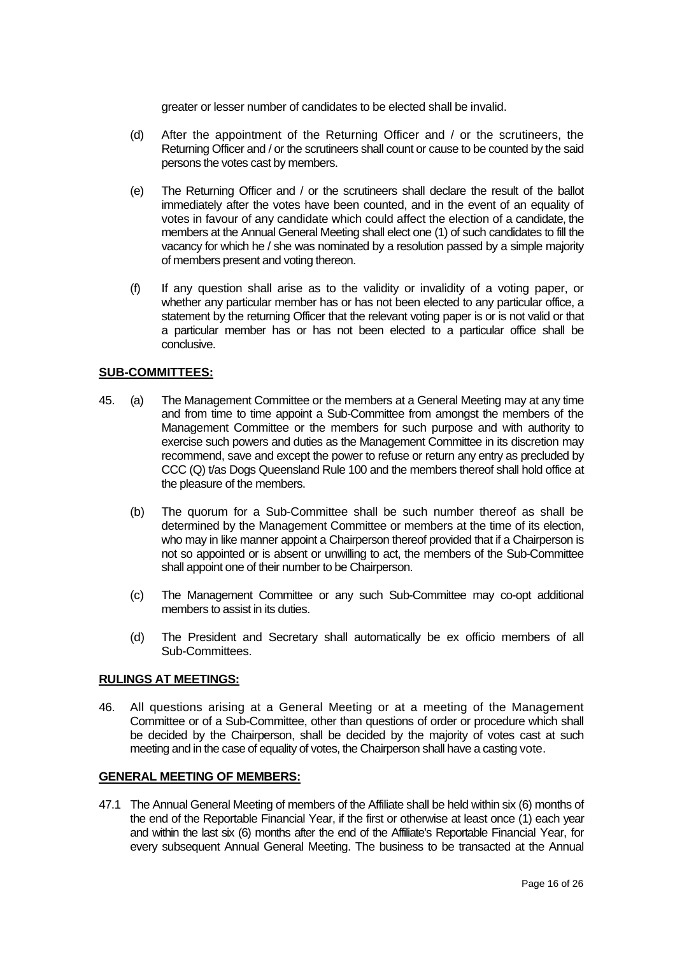greater or lesser number of candidates to be elected shall be invalid.

- (d) After the appointment of the Returning Officer and / or the scrutineers, the Returning Officer and / or the scrutineers shall count or cause to be counted by the said persons the votes cast by members.
- (e) The Returning Officer and / or the scrutineers shall declare the result of the ballot immediately after the votes have been counted, and in the event of an equality of votes in favour of any candidate which could affect the election of a candidate, the members at the Annual General Meeting shall elect one (1) of such candidates to fill the vacancy for which he / she was nominated by a resolution passed by a simple majority of members present and voting thereon.
- (f) If any question shall arise as to the validity or invalidity of a voting paper, or whether any particular member has or has not been elected to any particular office, a statement by the returning Officer that the relevant voting paper is or is not valid or that a particular member has or has not been elected to a particular office shall be conclusive.

# **SUB-COMMITTEES:**

- 45. (a) The Management Committee or the members at a General Meeting may at any time and from time to time appoint a Sub-Committee from amongst the members of the Management Committee or the members for such purpose and with authority to exercise such powers and duties as the Management Committee in its discretion may recommend, save and except the power to refuse or return any entry as precluded by CCC (Q) t/as Dogs Queensland Rule 100 and the members thereof shall hold office at the pleasure of the members.
	- (b) The quorum for a Sub-Committee shall be such number thereof as shall be determined by the Management Committee or members at the time of its election, who may in like manner appoint a Chairperson thereof provided that if a Chairperson is not so appointed or is absent or unwilling to act, the members of the Sub-Committee shall appoint one of their number to be Chairperson.
	- (c) The Management Committee or any such Sub-Committee may co-opt additional members to assist in its duties.
	- (d) The President and Secretary shall automatically be ex officio members of all Sub-Committees.

## **RULINGS AT MEETINGS:**

46. All questions arising at a General Meeting or at a meeting of the Management Committee or of a Sub-Committee, other than questions of order or procedure which shall be decided by the Chairperson, shall be decided by the majority of votes cast at such meeting and in the case of equality of votes, the Chairperson shall have a casting vote.

## **GENERAL MEETING OF MEMBERS:**

47.1 The Annual General Meeting of members of the Affiliate shall be held within six (6) months of the end of the Reportable Financial Year, if the first or otherwise at least once (1) each year and within the last six (6) months after the end of the Affiliate's Reportable Financial Year, for every subsequent Annual General Meeting. The business to be transacted at the Annual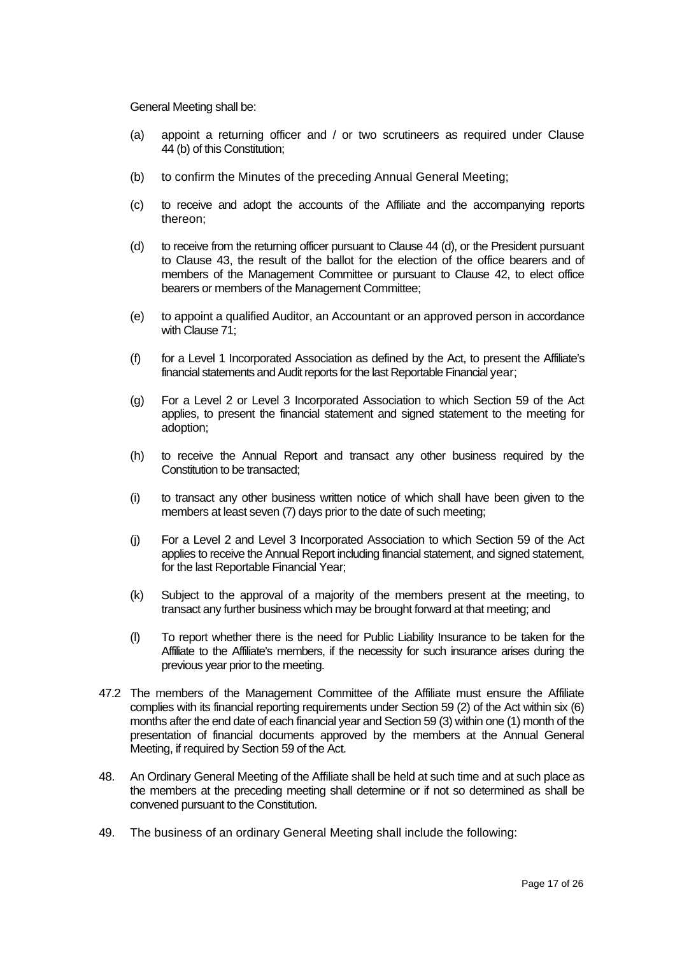General Meeting shall be:

- (a) appoint a returning officer and / or two scrutineers as required under Clause 44 (b) of this Constitution;
- (b) to confirm the Minutes of the preceding Annual General Meeting;
- (c) to receive and adopt the accounts of the Affiliate and the accompanying reports thereon;
- (d) to receive from the returning officer pursuant to Clause 44 (d), or the President pursuant to Clause 43, the result of the ballot for the election of the office bearers and of members of the Management Committee or pursuant to Clause 42, to elect office bearers or members of the Management Committee;
- (e) to appoint a qualified Auditor, an Accountant or an approved person in accordance with Clause 71:
- (f) for a Level 1 Incorporated Association as defined by the Act, to present the Affiliate's financial statements and Audit reports for the last Reportable Financial year;
- (g) For a Level 2 or Level 3 Incorporated Association to which Section 59 of the Act applies, to present the financial statement and signed statement to the meeting for adoption;
- (h) to receive the Annual Report and transact any other business required by the Constitution to be transacted;
- (i) to transact any other business written notice of which shall have been given to the members at least seven (7) days prior to the date of such meeting;
- (j) For a Level 2 and Level 3 Incorporated Association to which Section 59 of the Act applies to receive the Annual Report including financial statement, and signed statement, for the last Reportable Financial Year;
- (k) Subject to the approval of a majority of the members present at the meeting, to transact any further business which may be brought forward at that meeting; and
- (l) To report whether there is the need for Public Liability Insurance to be taken for the Affiliate to the Affiliate's members, if the necessity for such insurance arises during the previous year prior to the meeting.
- 47.2 The members of the Management Committee of the Affiliate must ensure the Affiliate complies with its financial reporting requirements under Section 59 (2) of the Act within six (6) months after the end date of each financial year and Section 59 (3) within one (1) month of the presentation of financial documents approved by the members at the Annual General Meeting, if required by Section 59 of the Act.
- 48. An Ordinary General Meeting of the Affiliate shall be held at such time and at such place as the members at the preceding meeting shall determine or if not so determined as shall be convened pursuant to the Constitution.
- 49. The business of an ordinary General Meeting shall include the following: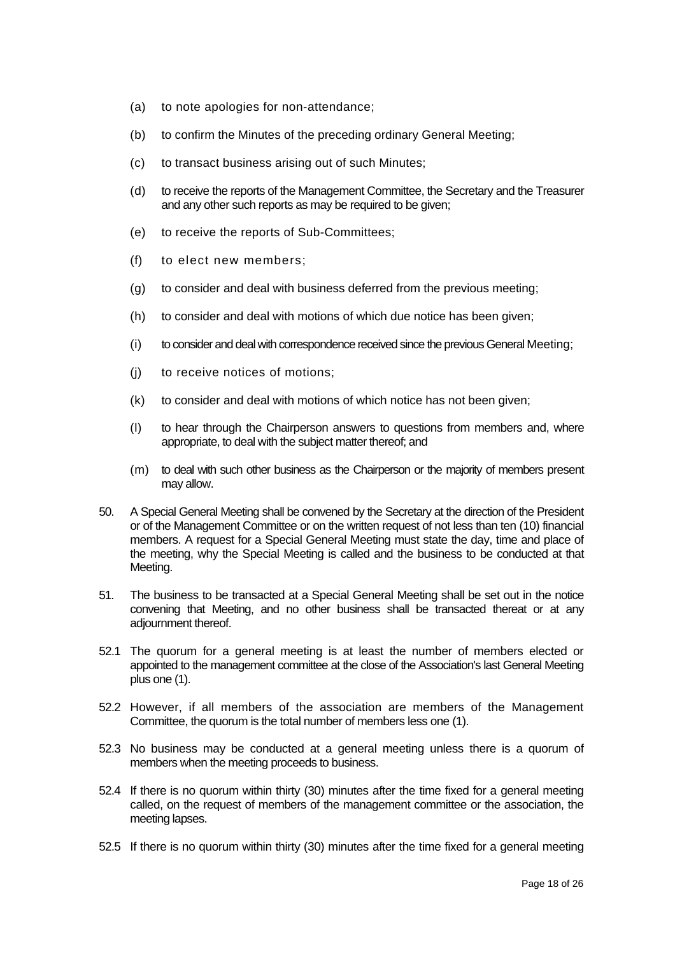- (a) to note apologies for non-attendance;
- (b) to confirm the Minutes of the preceding ordinary General Meeting;
- (c) to transact business arising out of such Minutes;
- (d) to receive the reports of the Management Committee, the Secretary and the Treasurer and any other such reports as may be required to be given;
- (e) to receive the reports of Sub-Committees;
- (f) to elect new members;
- (g) to consider and deal with business deferred from the previous meeting;
- (h) to consider and deal with motions of which due notice has been given;
- (i) to consider and deal with correspondence received since the previous General Meeting;
- (j) to receive notices of motions;
- (k) to consider and deal with motions of which notice has not been given;
- (l) to hear through the Chairperson answers to questions from members and, where appropriate, to deal with the subject matter thereof; and
- (m) to deal with such other business as the Chairperson or the majority of members present may allow.
- 50. A Special General Meeting shall be convened by the Secretary at the direction of the President or of the Management Committee or on the written request of not less than ten (10) financial members. A request for a Special General Meeting must state the day, time and place of the meeting, why the Special Meeting is called and the business to be conducted at that Meeting.
- 51. The business to be transacted at a Special General Meeting shall be set out in the notice convening that Meeting, and no other business shall be transacted thereat or at any adjournment thereof.
- 52.1 The quorum for a general meeting is at least the number of members elected or appointed to the management committee at the close of the Association's last General Meeting plus one (1).
- 52.2 However, if all members of the association are members of the Management Committee, the quorum is the total number of members less one (1).
- 52.3 No business may be conducted at a general meeting unless there is a quorum of members when the meeting proceeds to business.
- 52.4 If there is no quorum within thirty (30) minutes after the time fixed for a general meeting called, on the request of members of the management committee or the association, the meeting lapses.
- 52.5 If there is no quorum within thirty (30) minutes after the time fixed for a general meeting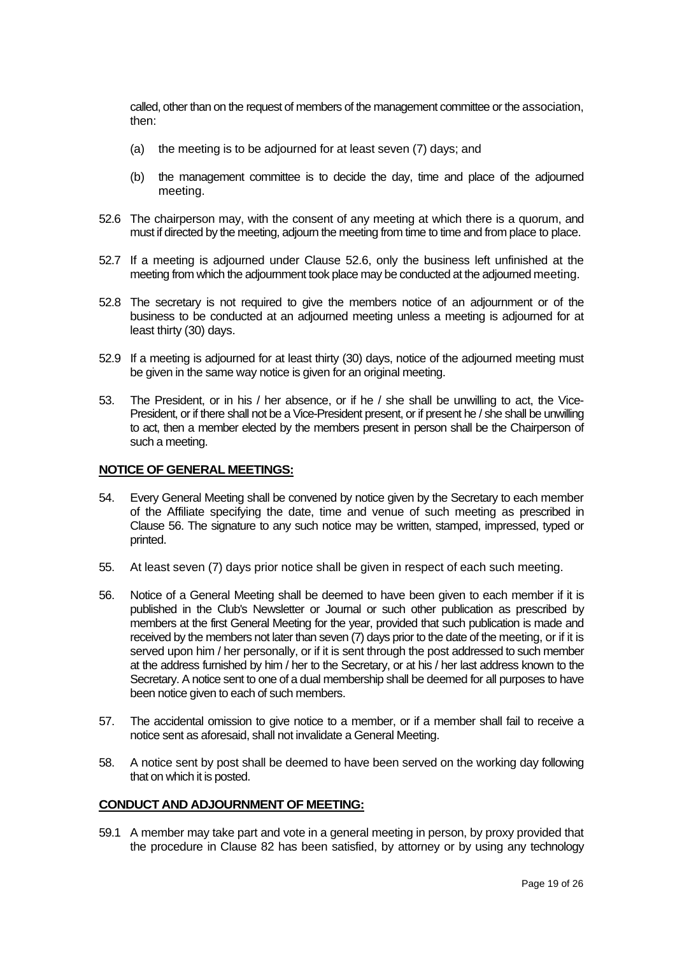called, other than on the request of members of the management committee or the association, then:

- (a) the meeting is to be adjourned for at least seven (7) days; and
- (b) the management committee is to decide the day, time and place of the adjourned meeting.
- 52.6 The chairperson may, with the consent of any meeting at which there is a quorum, and must if directed by the meeting, adjourn the meeting from time to time and from place to place.
- 52.7 If a meeting is adjourned under Clause 52.6, only the business left unfinished at the meeting from which the adjournment took place may be conducted at the adjourned meeting.
- 52.8 The secretary is not required to give the members notice of an adjournment or of the business to be conducted at an adjourned meeting unless a meeting is adjourned for at least thirty (30) days.
- 52.9 If a meeting is adjourned for at least thirty (30) days, notice of the adjourned meeting must be given in the same way notice is given for an original meeting.
- 53. The President, or in his / her absence, or if he / she shall be unwilling to act, the Vice-President, or if there shall not be a Vice-President present, or if present he / she shall be unwilling to act, then a member elected by the members present in person shall be the Chairperson of such a meeting.

## **NOTICE OF GENERAL MEETINGS:**

- 54. Every General Meeting shall be convened by notice given by the Secretary to each member of the Affiliate specifying the date, time and venue of such meeting as prescribed in Clause 56. The signature to any such notice may be written, stamped, impressed, typed or printed.
- 55. At least seven (7) days prior notice shall be given in respect of each such meeting.
- 56. Notice of a General Meeting shall be deemed to have been given to each member if it is published in the Club's Newsletter or Journal or such other publication as prescribed by members at the first General Meeting for the year, provided that such publication is made and received by the members not later than seven (7) days prior to the date of the meeting, or if it is served upon him / her personally, or if it is sent through the post addressed to such member at the address furnished by him / her to the Secretary, or at his / her last address known to the Secretary. A notice sent to one of a dual membership shall be deemed for all purposes to have been notice given to each of such members.
- 57. The accidental omission to give notice to a member, or if a member shall fail to receive a notice sent as aforesaid, shall not invalidate a General Meeting.
- 58. A notice sent by post shall be deemed to have been served on the working day following that on which it is posted.

## **CONDUCT AND ADJOURNMENT OF MEETING:**

59.1 A member may take part and vote in a general meeting in person, by proxy provided that the procedure in Clause 82 has been satisfied, by attorney or by using any technology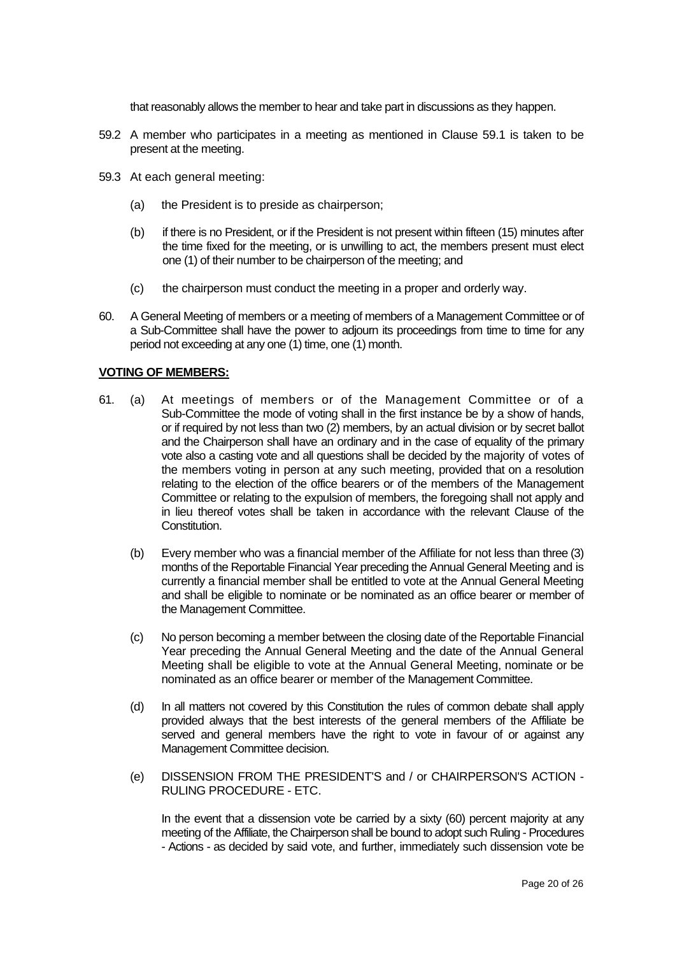that reasonably allows the member to hear and take part in discussions as they happen.

- 59.2 A member who participates in a meeting as mentioned in Clause 59.1 is taken to be present at the meeting.
- 59.3 At each general meeting:
	- (a) the President is to preside as chairperson;
	- (b) if there is no President, or if the President is not present within fifteen (15) minutes after the time fixed for the meeting, or is unwilling to act, the members present must elect one (1) of their number to be chairperson of the meeting; and
	- (c) the chairperson must conduct the meeting in a proper and orderly way.
- 60. A General Meeting of members or a meeting of members of a Management Committee or of a Sub-Committee shall have the power to adjourn its proceedings from time to time for any period not exceeding at any one (1) time, one (1) month.

# **VOTING OF MEMBERS:**

- 61. (a) At meetings of members or of the Management Committee or of a Sub-Committee the mode of voting shall in the first instance be by a show of hands, or if required by not less than two (2) members, by an actual division or by secret ballot and the Chairperson shall have an ordinary and in the case of equality of the primary vote also a casting vote and all questions shall be decided by the majority of votes of the members voting in person at any such meeting, provided that on a resolution relating to the election of the office bearers or of the members of the Management Committee or relating to the expulsion of members, the foregoing shall not apply and in lieu thereof votes shall be taken in accordance with the relevant Clause of the Constitution.
	- (b) Every member who was a financial member of the Affiliate for not less than three (3) months of the Reportable Financial Year preceding the Annual General Meeting and is currently a financial member shall be entitled to vote at the Annual General Meeting and shall be eligible to nominate or be nominated as an office bearer or member of the Management Committee.
	- (c) No person becoming a member between the closing date of the Reportable Financial Year preceding the Annual General Meeting and the date of the Annual General Meeting shall be eligible to vote at the Annual General Meeting, nominate or be nominated as an office bearer or member of the Management Committee.
	- (d) In all matters not covered by this Constitution the rules of common debate shall apply provided always that the best interests of the general members of the Affiliate be served and general members have the right to vote in favour of or against any Management Committee decision.
	- (e) DISSENSION FROM THE PRESIDENT'S and / or CHAIRPERSON'S ACTION RULING PROCEDURE - ETC.

In the event that a dissension vote be carried by a sixty (60) percent majority at any meeting of the Affiliate, the Chairperson shall be bound to adopt such Ruling - Procedures - Actions - as decided by said vote, and further, immediately such dissension vote be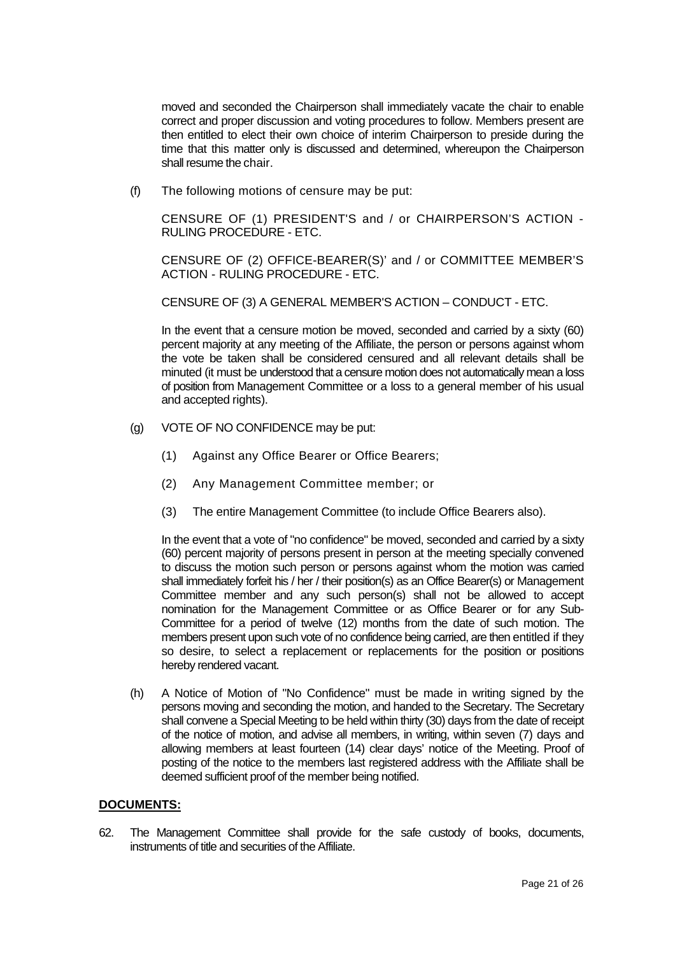moved and seconded the Chairperson shall immediately vacate the chair to enable correct and proper discussion and voting procedures to follow. Members present are then entitled to elect their own choice of interim Chairperson to preside during the time that this matter only is discussed and determined, whereupon the Chairperson shall resume the chair.

(f) The following motions of censure may be put:

CENSURE OF (1) PRESIDENT'S and / or CHAIRPERSON'S ACTION - RULING PROCEDURE - ETC.

CENSURE OF (2) OFFICE-BEARER(S)' and / or COMMITTEE MEMBER'S ACTION - RULING PROCEDURE - ETC.

CENSURE OF (3) A GENERAL MEMBER'S ACTION – CONDUCT - ETC.

In the event that a censure motion be moved, seconded and carried by a sixty (60) percent majority at any meeting of the Affiliate, the person or persons against whom the vote be taken shall be considered censured and all relevant details shall be minuted (it must be understood that a censure motion does not automatically mean a loss of position from Management Committee or a loss to a general member of his usual and accepted rights).

- (g) VOTE OF NO CONFIDENCE may be put:
	- (1) Against any Office Bearer or Office Bearers;
	- (2) Any Management Committee member; or
	- (3) The entire Management Committee (to include Office Bearers also).

In the event that a vote of "no confidence" be moved, seconded and carried by a sixty (60) percent majority of persons present in person at the meeting specially convened to discuss the motion such person or persons against whom the motion was carried shall immediately forfeit his / her / their position(s) as an Office Bearer(s) or Management Committee member and any such person(s) shall not be allowed to accept nomination for the Management Committee or as Office Bearer or for any Sub-Committee for a period of twelve (12) months from the date of such motion. The members present upon such vote of no confidence being carried, are then entitled if they so desire, to select a replacement or replacements for the position or positions hereby rendered vacant.

(h) A Notice of Motion of "No Confidence" must be made in writing signed by the persons moving and seconding the motion, and handed to the Secretary. The Secretary shall convene a Special Meeting to be held within thirty (30) days from the date of receipt of the notice of motion, and advise all members, in writing, within seven (7) days and allowing members at least fourteen (14) clear days' notice of the Meeting. Proof of posting of the notice to the members last registered address with the Affiliate shall be deemed sufficient proof of the member being notified.

#### **DOCUMENTS:**

62. The Management Committee shall provide for the safe custody of books, documents, instruments of title and securities of the Affiliate.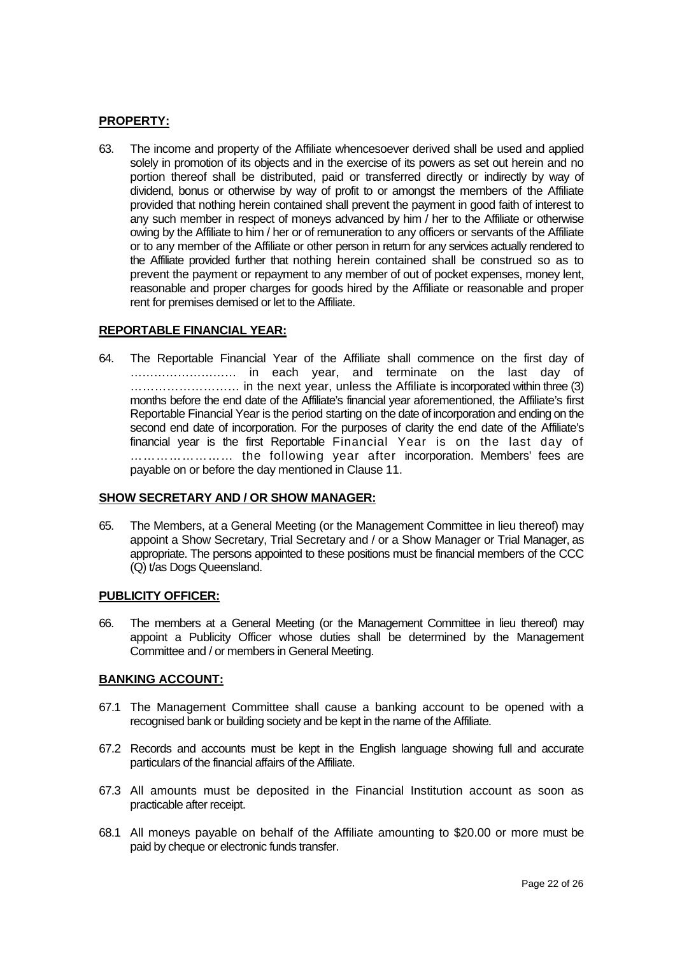# **PROPERTY:**

63. The income and property of the Affiliate whencesoever derived shall be used and applied solely in promotion of its objects and in the exercise of its powers as set out herein and no portion thereof shall be distributed, paid or transferred directly or indirectly by way of dividend, bonus or otherwise by way of profit to or amongst the members of the Affiliate provided that nothing herein contained shall prevent the payment in good faith of interest to any such member in respect of moneys advanced by him / her to the Affiliate or otherwise owing by the Affiliate to him / her or of remuneration to any officers or servants of the Affiliate or to any member of the Affiliate or other person in return for any services actually rendered to the Affiliate provided further that nothing herein contained shall be construed so as to prevent the payment or repayment to any member of out of pocket expenses, money lent, reasonable and proper charges for goods hired by the Affiliate or reasonable and proper rent for premises demised or let to the Affiliate.

## **REPORTABLE FINANCIAL YEAR:**

64. The Reportable Financial Year of the Affiliate shall commence on the first day of ……………………… in each year, and terminate on the last day of ……………………… in the next year, unless the Affiliate is incorporated within three (3) months before the end date of the Affiliate's financial year aforementioned, the Affiliate's first Reportable Financial Year is the period starting on the date of incorporation and ending on the second end date of incorporation. For the purposes of clarity the end date of the Affiliate's financial year is the first Reportable Financial Year is on the last day of …………………… the following year after incorporation. Members' fees are payable on or before the day mentioned in Clause 11.

# **SHOW SECRETARY AND / OR SHOW MANAGER:**

65. The Members, at a General Meeting (or the Management Committee in lieu thereof) may appoint a Show Secretary, Trial Secretary and / or a Show Manager or Trial Manager, as appropriate. The persons appointed to these positions must be financial members of the CCC (Q) t/as Dogs Queensland.

#### **PUBLICITY OFFICER:**

66. The members at a General Meeting (or the Management Committee in lieu thereof) may appoint a Publicity Officer whose duties shall be determined by the Management Committee and / or members in General Meeting.

# **BANKING ACCOUNT:**

- 67.1 The Management Committee shall cause a banking account to be opened with a recognised bank or building society and be kept in the name of the Affiliate.
- 67.2 Records and accounts must be kept in the English language showing full and accurate particulars of the financial affairs of the Affiliate.
- 67.3 All amounts must be deposited in the Financial Institution account as soon as practicable after receipt.
- 68.1 All moneys payable on behalf of the Affiliate amounting to \$20.00 or more must be paid by cheque or electronic funds transfer.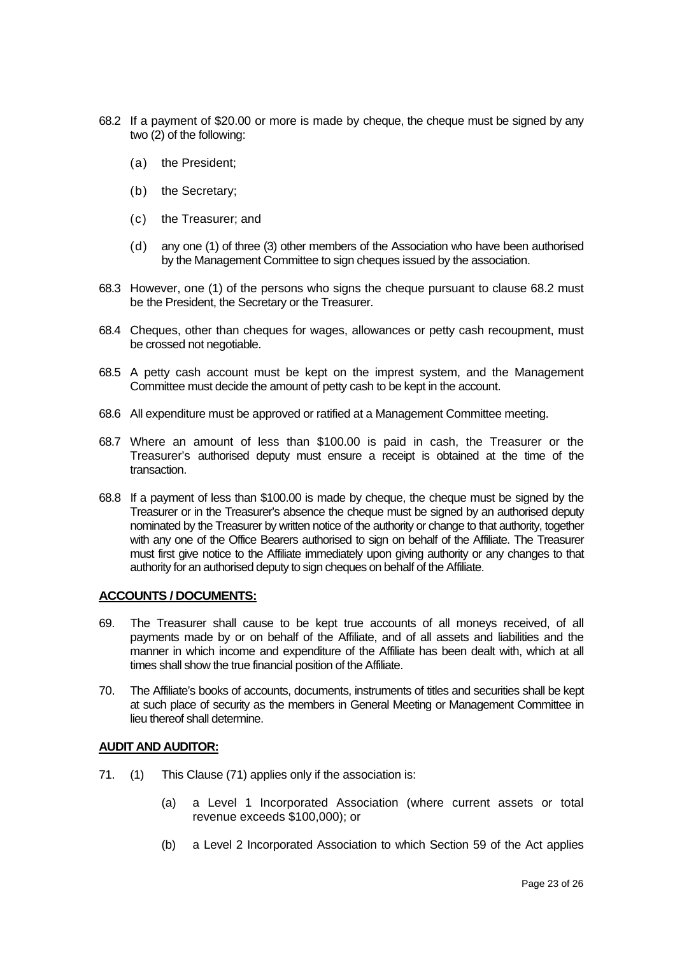- 68.2 If a payment of \$20.00 or more is made by cheque, the cheque must be signed by any two (2) of the following:
	- (a) the President;
	- (b) the Secretary;
	- (c) the Treasurer; and
	- (d) any one (1) of three (3) other members of the Association who have been authorised by the Management Committee to sign cheques issued by the association.
- 68.3 However, one (1) of the persons who signs the cheque pursuant to clause 68.2 must be the President, the Secretary or the Treasurer.
- 68.4 Cheques, other than cheques for wages, allowances or petty cash recoupment, must be crossed not negotiable.
- 68.5 A petty cash account must be kept on the imprest system, and the Management Committee must decide the amount of petty cash to be kept in the account.
- 68.6 All expenditure must be approved or ratified at a Management Committee meeting.
- 68.7 Where an amount of less than \$100.00 is paid in cash, the Treasurer or the Treasurer's authorised deputy must ensure a receipt is obtained at the time of the transaction.
- 68.8 If a payment of less than \$100.00 is made by cheque, the cheque must be signed by the Treasurer or in the Treasurer's absence the cheque must be signed by an authorised deputy nominated by the Treasurer by written notice of the authority or change to that authority, together with any one of the Office Bearers authorised to sign on behalf of the Affiliate. The Treasurer must first give notice to the Affiliate immediately upon giving authority or any changes to that authority for an authorised deputy to sign cheques on behalf of the Affiliate.

# **ACCOUNTS / DOCUMENTS:**

- 69. The Treasurer shall cause to be kept true accounts of all moneys received, of all payments made by or on behalf of the Affiliate, and of all assets and liabilities and the manner in which income and expenditure of the Affiliate has been dealt with, which at all times shall show the true financial position of the Affiliate.
- 70. The Affiliate's books of accounts, documents, instruments of titles and securities shall be kept at such place of security as the members in General Meeting or Management Committee in lieu thereof shall determine.

# **AUDIT AND AUDITOR:**

- 71. (1) This Clause (71) applies only if the association is:
	- (a) a Level 1 Incorporated Association (where current assets or total revenue exceeds \$100,000); or
	- (b) a Level 2 Incorporated Association to which Section 59 of the Act applies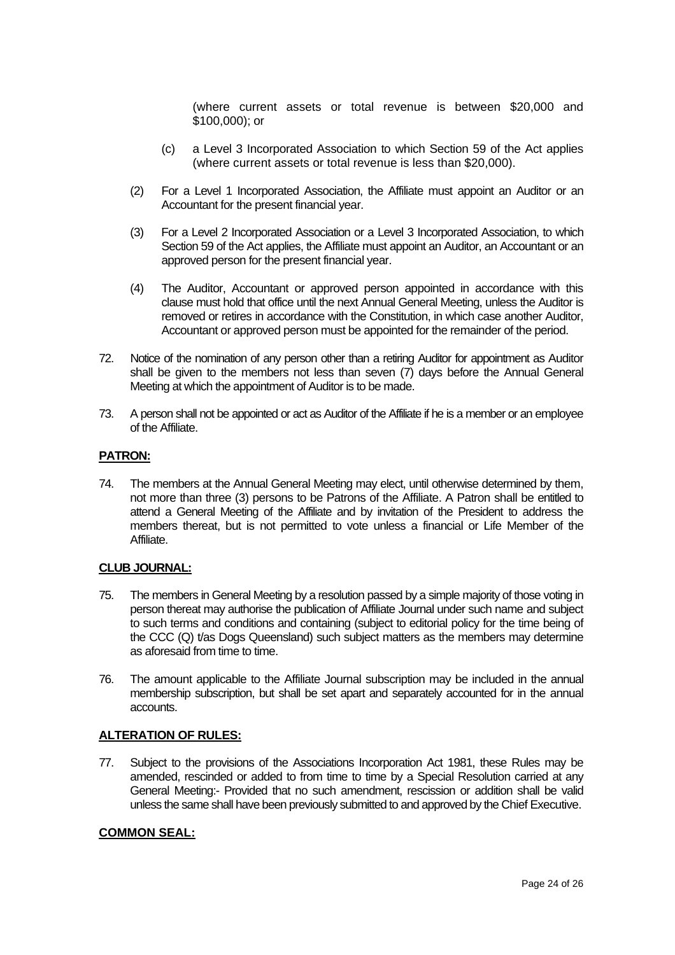(where current assets or total revenue is between \$20,000 and \$100,000); or

- (c) a Level 3 Incorporated Association to which Section 59 of the Act applies (where current assets or total revenue is less than \$20,000).
- (2) For a Level 1 Incorporated Association, the Affiliate must appoint an Auditor or an Accountant for the present financial year.
- (3) For a Level 2 Incorporated Association or a Level 3 Incorporated Association, to which Section 59 of the Act applies, the Affiliate must appoint an Auditor, an Accountant or an approved person for the present financial year.
- (4) The Auditor, Accountant or approved person appointed in accordance with this clause must hold that office until the next Annual General Meeting, unless the Auditor is removed or retires in accordance with the Constitution, in which case another Auditor, Accountant or approved person must be appointed for the remainder of the period.
- 72. Notice of the nomination of any person other than a retiring Auditor for appointment as Auditor shall be given to the members not less than seven (7) days before the Annual General Meeting at which the appointment of Auditor is to be made.
- 73. A person shall not be appointed or act as Auditor of the Affiliate if he is a member or an employee of the Affiliate.

# **PATRON:**

74. The members at the Annual General Meeting may elect, until otherwise determined by them, not more than three (3) persons to be Patrons of the Affiliate. A Patron shall be entitled to attend a General Meeting of the Affiliate and by invitation of the President to address the members thereat, but is not permitted to vote unless a financial or Life Member of the Affiliate.

#### **CLUB JOURNAL:**

- 75. The members in General Meeting by a resolution passed by a simple majority of those voting in person thereat may authorise the publication of Affiliate Journal under such name and subject to such terms and conditions and containing (subject to editorial policy for the time being of the CCC (Q) t/as Dogs Queensland) such subject matters as the members may determine as aforesaid from time to time.
- 76. The amount applicable to the Affiliate Journal subscription may be included in the annual membership subscription, but shall be set apart and separately accounted for in the annual accounts.

#### **ALTERATION OF RULES:**

77. Subject to the provisions of the Associations Incorporation Act 1981, these Rules may be amended, rescinded or added to from time to time by a Special Resolution carried at any General Meeting:- Provided that no such amendment, rescission or addition shall be valid unless the same shall have been previously submitted to and approved by the Chief Executive.

# **COMMON SEAL:**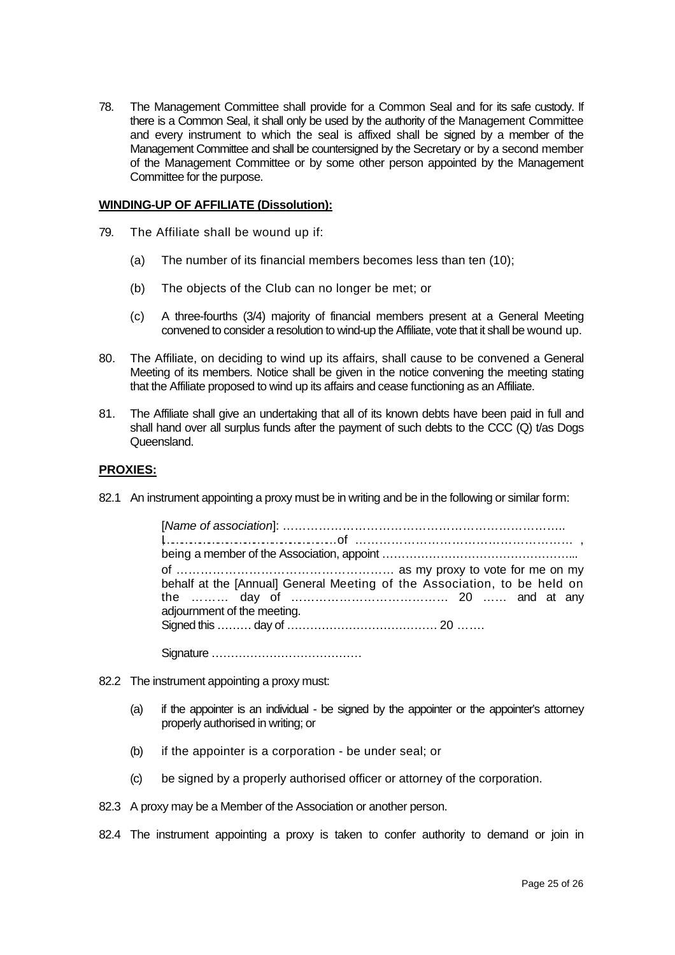78. The Management Committee shall provide for a Common Seal and for its safe custody. If there is a Common Seal, it shall only be used by the authority of the Management Committee and every instrument to which the seal is affixed shall be signed by a member of the Management Committee and shall be countersigned by the Secretary or by a second member of the Management Committee or by some other person appointed by the Management Committee for the purpose.

## **WINDING-UP OF AFFILIATE (Dissolution):**

- 79. The Affiliate shall be wound up if:
	- (a) The number of its financial members becomes less than ten (10);
	- (b) The objects of the Club can no longer be met; or
	- (c) A three-fourths (3/4) majority of financial members present at a General Meeting convened to consider a resolution to wind-up the Affiliate, vote that it shall be wound up.
- 80. The Affiliate, on deciding to wind up its affairs, shall cause to be convened a General Meeting of its members. Notice shall be given in the notice convening the meeting stating that the Affiliate proposed to wind up its affairs and cease functioning as an Affiliate.
- 81. The Affiliate shall give an undertaking that all of its known debts have been paid in full and shall hand over all surplus funds after the payment of such debts to the CCC (Q) t/as Dogs Queensland.

## **PROXIES:**

82.1 An instrument appointing a proxy must be in writing and be in the following or similar form:

| behalf at the [Annual] General Meeting of the Association, to be held on |
|--------------------------------------------------------------------------|
|                                                                          |
| adjournment of the meeting.                                              |
|                                                                          |
|                                                                          |

Signature …………………………………

- 82.2 The instrument appointing a proxy must:
	- (a) if the appointer is an individual be signed by the appointer or the appointer's attorney properly authorised in writing; or
	- (b) if the appointer is a corporation be under seal; or
	- (c) be signed by a properly authorised officer or attorney of the corporation.
- 82.3 A proxy may be a Member of the Association or another person.
- 82.4 The instrument appointing a proxy is taken to confer authority to demand or join in